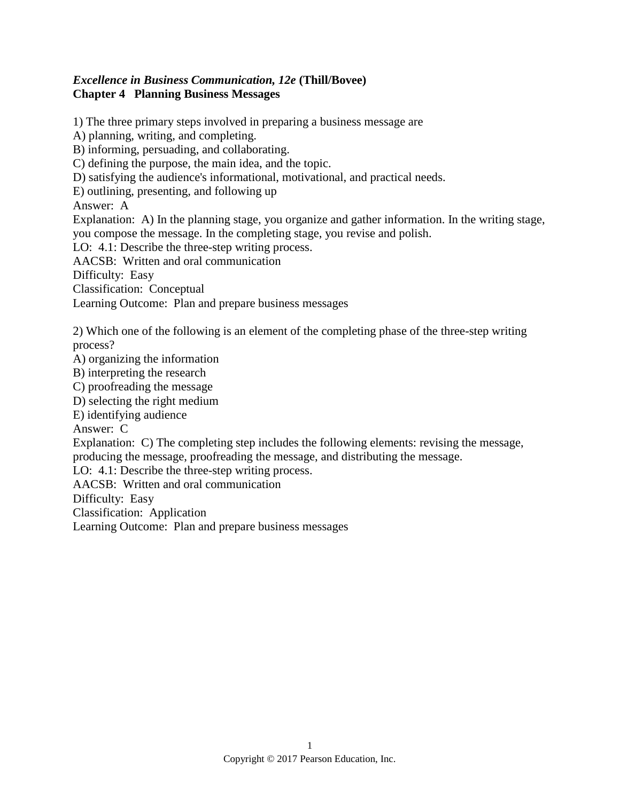## *Excellence in Business Communication, 12e* **(Thill/Bovee) Chapter 4 Planning Business Messages**

1) The three primary steps involved in preparing a business message are A) planning, writing, and completing. B) informing, persuading, and collaborating. C) defining the purpose, the main idea, and the topic. D) satisfying the audience's informational, motivational, and practical needs. E) outlining, presenting, and following up Answer: A Explanation: A) In the planning stage, you organize and gather information. In the writing stage, you compose the message. In the completing stage, you revise and polish. LO: 4.1: Describe the three-step writing process. AACSB: Written and oral communication Difficulty: Easy Classification: Conceptual Learning Outcome: Plan and prepare business messages 2) Which one of the following is an element of the completing phase of the three-step writing process? A) organizing the information B) interpreting the research C) proofreading the message D) selecting the right medium E) identifying audience Answer: C Explanation: C) The completing step includes the following elements: revising the message, producing the message, proofreading the message, and distributing the message. LO: 4.1: Describe the three-step writing process. AACSB: Written and oral communication Difficulty: Easy Classification: Application Learning Outcome: Plan and prepare business messages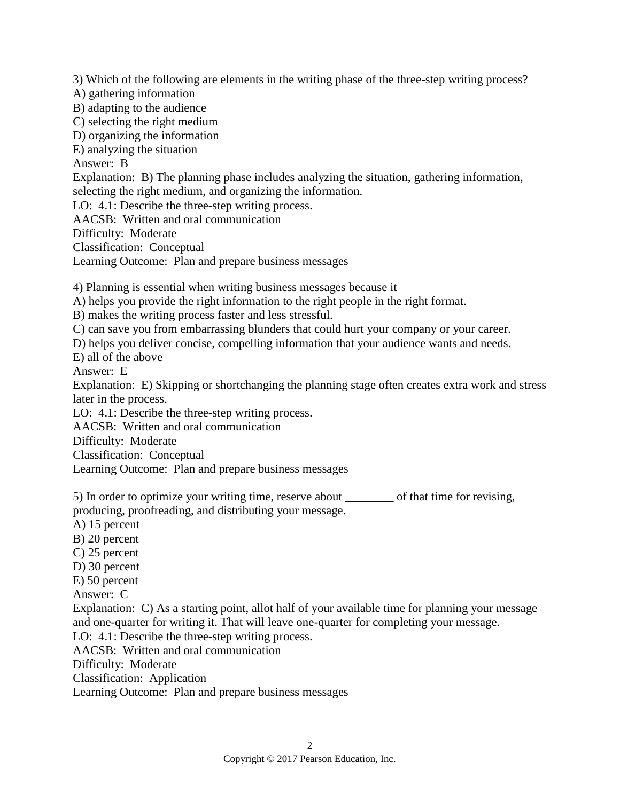3) Which of the following are elements in the writing phase of the three-step writing process?

A) gathering information

B) adapting to the audience

C) selecting the right medium

D) organizing the information

E) analyzing the situation

Answer: B

Explanation: B) The planning phase includes analyzing the situation, gathering information, selecting the right medium, and organizing the information.

LO: 4.1: Describe the three-step writing process.

AACSB: Written and oral communication

Difficulty: Moderate

Classification: Conceptual

Learning Outcome: Plan and prepare business messages

4) Planning is essential when writing business messages because it

A) helps you provide the right information to the right people in the right format.

B) makes the writing process faster and less stressful.

C) can save you from embarrassing blunders that could hurt your company or your career.

D) helps you deliver concise, compelling information that your audience wants and needs.

E) all of the above

Answer: E

Explanation: E) Skipping or shortchanging the planning stage often creates extra work and stress later in the process.

LO: 4.1: Describe the three-step writing process.

AACSB: Written and oral communication

Difficulty: Moderate

Classification: Conceptual

Learning Outcome: Plan and prepare business messages

5) In order to optimize your writing time, reserve about \_\_\_\_\_\_\_\_ of that time for revising, producing, proofreading, and distributing your message.

A) 15 percent B) 20 percent C) 25 percent

D) 30 percent E) 50 percent

Answer: C

Explanation: C) As a starting point, allot half of your available time for planning your message and one-quarter for writing it. That will leave one-quarter for completing your message.

LO: 4.1: Describe the three-step writing process.

AACSB: Written and oral communication

Difficulty: Moderate

Classification: Application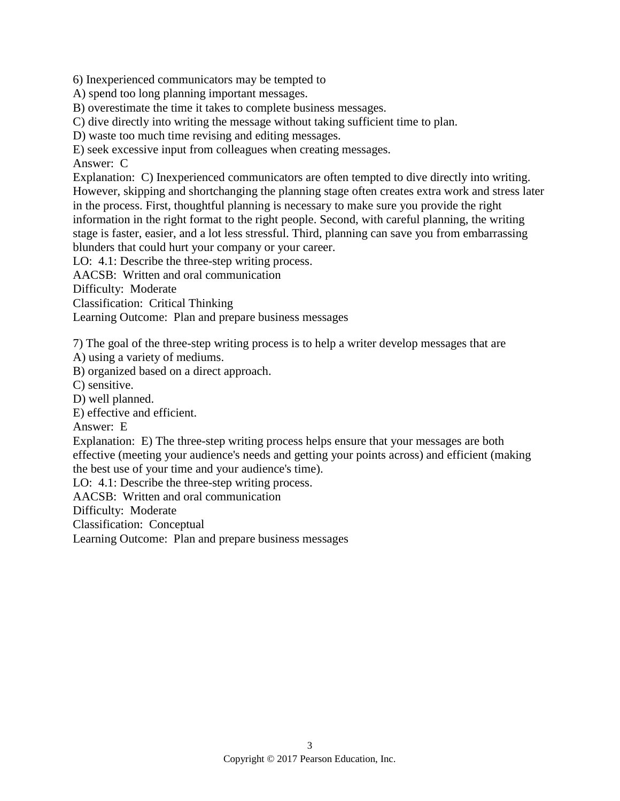6) Inexperienced communicators may be tempted to

A) spend too long planning important messages.

B) overestimate the time it takes to complete business messages.

C) dive directly into writing the message without taking sufficient time to plan.

D) waste too much time revising and editing messages.

E) seek excessive input from colleagues when creating messages.

Answer: C

Explanation: C) Inexperienced communicators are often tempted to dive directly into writing. However, skipping and shortchanging the planning stage often creates extra work and stress later in the process. First, thoughtful planning is necessary to make sure you provide the right information in the right format to the right people. Second, with careful planning, the writing stage is faster, easier, and a lot less stressful. Third, planning can save you from embarrassing blunders that could hurt your company or your career.

LO: 4.1: Describe the three-step writing process.

AACSB: Written and oral communication

Difficulty: Moderate

Classification: Critical Thinking

Learning Outcome: Plan and prepare business messages

7) The goal of the three-step writing process is to help a writer develop messages that are

A) using a variety of mediums.

B) organized based on a direct approach.

C) sensitive.

D) well planned.

E) effective and efficient.

Answer: E

Explanation: E) The three-step writing process helps ensure that your messages are both effective (meeting your audience's needs and getting your points across) and efficient (making the best use of your time and your audience's time).

LO: 4.1: Describe the three-step writing process.

AACSB: Written and oral communication

Difficulty: Moderate

Classification: Conceptual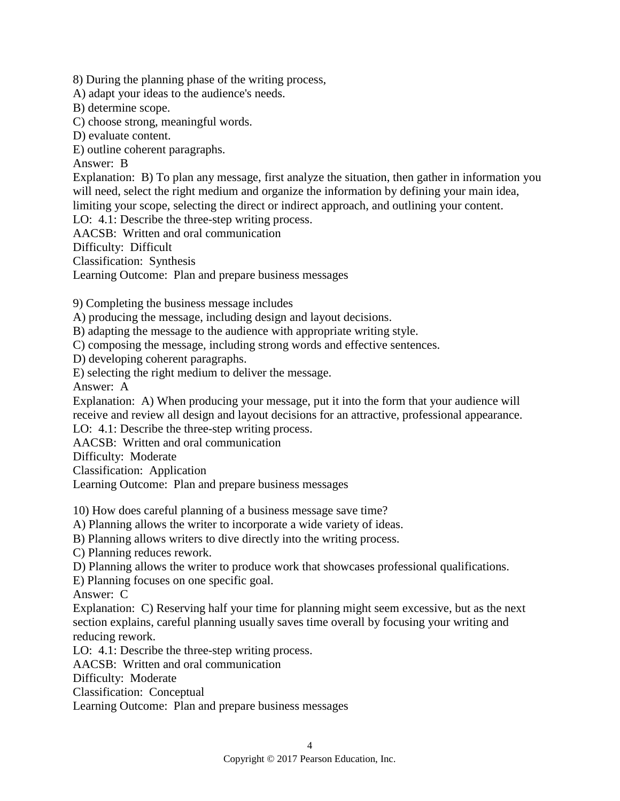8) During the planning phase of the writing process,

A) adapt your ideas to the audience's needs.

B) determine scope.

C) choose strong, meaningful words.

D) evaluate content.

E) outline coherent paragraphs.

Answer: B

Explanation: B) To plan any message, first analyze the situation, then gather in information you will need, select the right medium and organize the information by defining your main idea, limiting your scope, selecting the direct or indirect approach, and outlining your content.

LO: 4.1: Describe the three-step writing process.

AACSB: Written and oral communication

Difficulty: Difficult

Classification: Synthesis

Learning Outcome: Plan and prepare business messages

9) Completing the business message includes

A) producing the message, including design and layout decisions.

B) adapting the message to the audience with appropriate writing style.

C) composing the message, including strong words and effective sentences.

D) developing coherent paragraphs.

E) selecting the right medium to deliver the message.

Answer: A

Explanation: A) When producing your message, put it into the form that your audience will receive and review all design and layout decisions for an attractive, professional appearance.

LO: 4.1: Describe the three-step writing process.

AACSB: Written and oral communication

Difficulty: Moderate

Classification: Application

Learning Outcome: Plan and prepare business messages

10) How does careful planning of a business message save time?

A) Planning allows the writer to incorporate a wide variety of ideas.

B) Planning allows writers to dive directly into the writing process.

C) Planning reduces rework.

D) Planning allows the writer to produce work that showcases professional qualifications.

E) Planning focuses on one specific goal.

Answer: C

Explanation: C) Reserving half your time for planning might seem excessive, but as the next section explains, careful planning usually saves time overall by focusing your writing and reducing rework.

LO: 4.1: Describe the three-step writing process.

AACSB: Written and oral communication

Difficulty: Moderate

Classification: Conceptual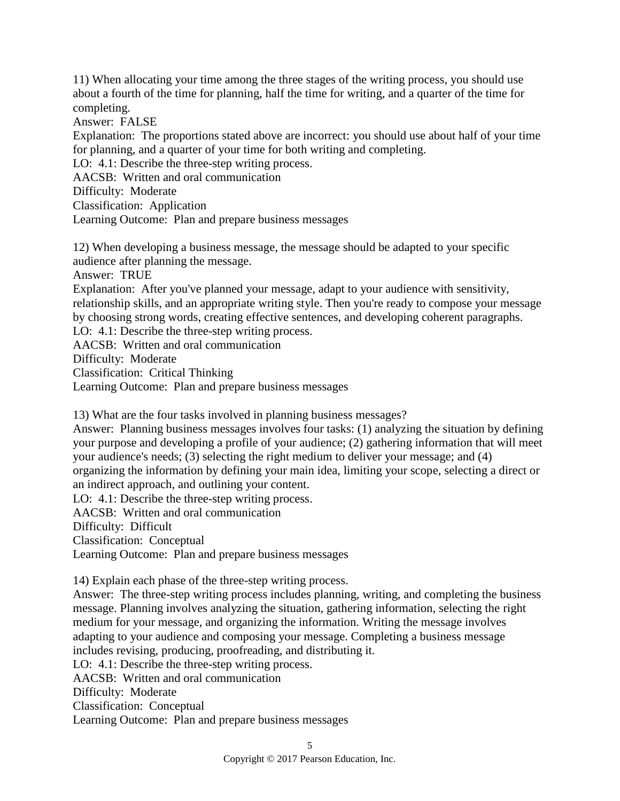11) When allocating your time among the three stages of the writing process, you should use about a fourth of the time for planning, half the time for writing, and a quarter of the time for completing.

Answer: FALSE

Explanation: The proportions stated above are incorrect: you should use about half of your time for planning, and a quarter of your time for both writing and completing.

LO: 4.1: Describe the three-step writing process.

AACSB: Written and oral communication

Difficulty: Moderate

Classification: Application

Learning Outcome: Plan and prepare business messages

12) When developing a business message, the message should be adapted to your specific audience after planning the message. Answer: TRUE Explanation: After you've planned your message, adapt to your audience with sensitivity, relationship skills, and an appropriate writing style. Then you're ready to compose your message by choosing strong words, creating effective sentences, and developing coherent paragraphs. LO: 4.1: Describe the three-step writing process. AACSB: Written and oral communication Difficulty: Moderate

Classification: Critical Thinking

Learning Outcome: Plan and prepare business messages

13) What are the four tasks involved in planning business messages?

Answer: Planning business messages involves four tasks: (1) analyzing the situation by defining your purpose and developing a profile of your audience; (2) gathering information that will meet your audience's needs; (3) selecting the right medium to deliver your message; and (4) organizing the information by defining your main idea, limiting your scope, selecting a direct or an indirect approach, and outlining your content.

LO: 4.1: Describe the three-step writing process.

AACSB: Written and oral communication

Difficulty: Difficult

Classification: Conceptual

Learning Outcome: Plan and prepare business messages

14) Explain each phase of the three-step writing process.

Answer: The three-step writing process includes planning, writing, and completing the business message. Planning involves analyzing the situation, gathering information, selecting the right medium for your message, and organizing the information. Writing the message involves adapting to your audience and composing your message. Completing a business message includes revising, producing, proofreading, and distributing it. LO: 4.1: Describe the three-step writing process.

AACSB: Written and oral communication

Difficulty: Moderate

Classification: Conceptual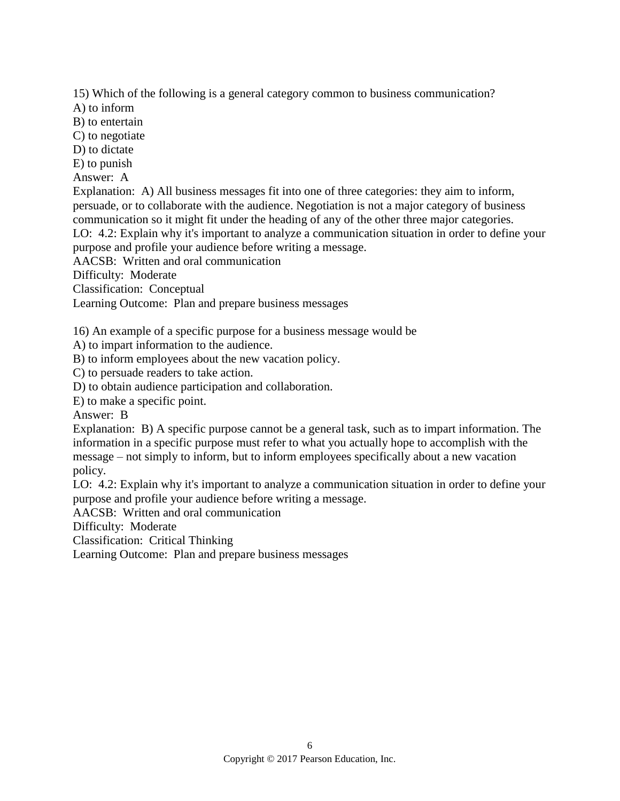15) Which of the following is a general category common to business communication?

A) to inform

B) to entertain

C) to negotiate

D) to dictate

E) to punish

Answer: A

Explanation: A) All business messages fit into one of three categories: they aim to inform, persuade, or to collaborate with the audience. Negotiation is not a major category of business communication so it might fit under the heading of any of the other three major categories. LO: 4.2: Explain why it's important to analyze a communication situation in order to define your

purpose and profile your audience before writing a message.

AACSB: Written and oral communication

Difficulty: Moderate

Classification: Conceptual

Learning Outcome: Plan and prepare business messages

16) An example of a specific purpose for a business message would be

A) to impart information to the audience.

B) to inform employees about the new vacation policy.

C) to persuade readers to take action.

D) to obtain audience participation and collaboration.

E) to make a specific point.

Answer: B

Explanation: B) A specific purpose cannot be a general task, such as to impart information. The information in a specific purpose must refer to what you actually hope to accomplish with the message – not simply to inform, but to inform employees specifically about a new vacation policy.

LO: 4.2: Explain why it's important to analyze a communication situation in order to define your purpose and profile your audience before writing a message.

AACSB: Written and oral communication

Difficulty: Moderate

Classification: Critical Thinking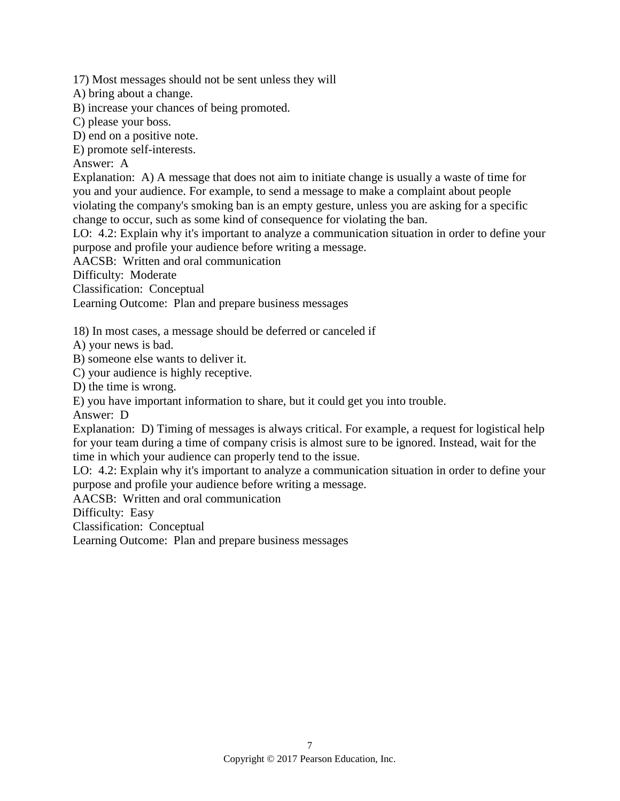17) Most messages should not be sent unless they will

A) bring about a change.

B) increase your chances of being promoted.

C) please your boss.

D) end on a positive note.

E) promote self-interests.

Answer: A

Explanation: A) A message that does not aim to initiate change is usually a waste of time for you and your audience. For example, to send a message to make a complaint about people violating the company's smoking ban is an empty gesture, unless you are asking for a specific change to occur, such as some kind of consequence for violating the ban.

LO: 4.2: Explain why it's important to analyze a communication situation in order to define your purpose and profile your audience before writing a message.

AACSB: Written and oral communication

Difficulty: Moderate

Classification: Conceptual

Learning Outcome: Plan and prepare business messages

18) In most cases, a message should be deferred or canceled if

A) your news is bad.

B) someone else wants to deliver it.

C) your audience is highly receptive.

D) the time is wrong.

E) you have important information to share, but it could get you into trouble.

Answer: D

Explanation: D) Timing of messages is always critical. For example, a request for logistical help for your team during a time of company crisis is almost sure to be ignored. Instead, wait for the time in which your audience can properly tend to the issue.

LO: 4.2: Explain why it's important to analyze a communication situation in order to define your purpose and profile your audience before writing a message.

AACSB: Written and oral communication

Difficulty: Easy

Classification: Conceptual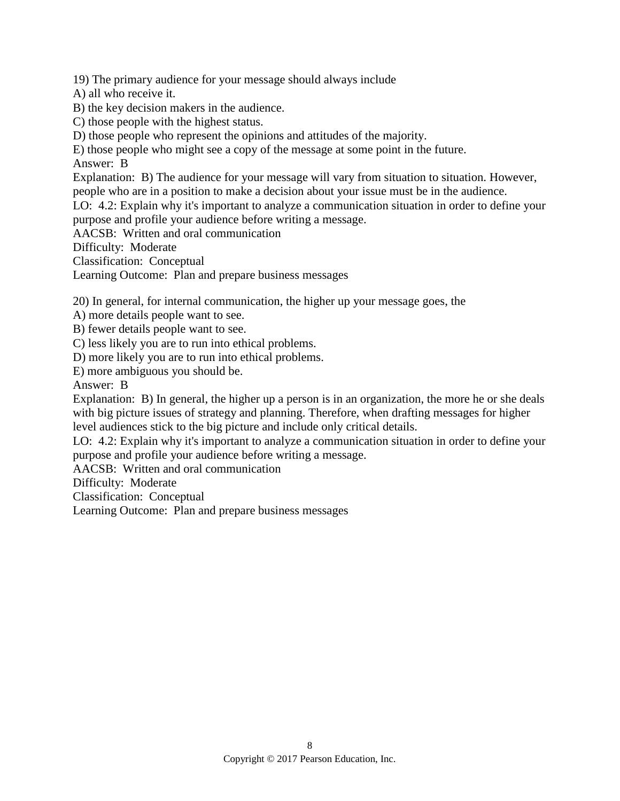19) The primary audience for your message should always include

A) all who receive it.

B) the key decision makers in the audience.

C) those people with the highest status.

D) those people who represent the opinions and attitudes of the majority.

E) those people who might see a copy of the message at some point in the future.

Answer: B

Explanation: B) The audience for your message will vary from situation to situation. However, people who are in a position to make a decision about your issue must be in the audience.

LO: 4.2: Explain why it's important to analyze a communication situation in order to define your purpose and profile your audience before writing a message.

AACSB: Written and oral communication

Difficulty: Moderate

Classification: Conceptual

Learning Outcome: Plan and prepare business messages

20) In general, for internal communication, the higher up your message goes, the

A) more details people want to see.

B) fewer details people want to see.

C) less likely you are to run into ethical problems.

D) more likely you are to run into ethical problems.

E) more ambiguous you should be.

Answer: B

Explanation: B) In general, the higher up a person is in an organization, the more he or she deals with big picture issues of strategy and planning. Therefore, when drafting messages for higher level audiences stick to the big picture and include only critical details.

LO: 4.2: Explain why it's important to analyze a communication situation in order to define your purpose and profile your audience before writing a message.

AACSB: Written and oral communication

Difficulty: Moderate

Classification: Conceptual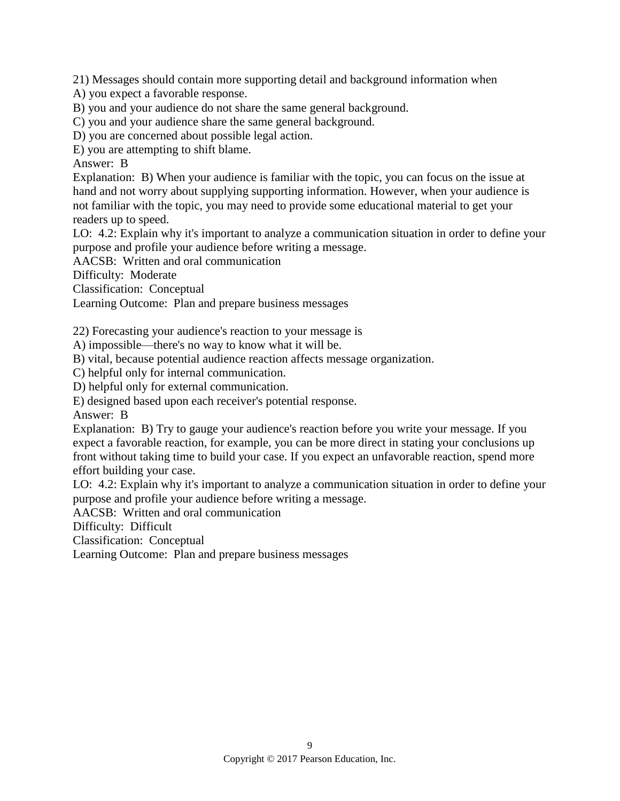21) Messages should contain more supporting detail and background information when

A) you expect a favorable response.

B) you and your audience do not share the same general background.

C) you and your audience share the same general background.

D) you are concerned about possible legal action.

E) you are attempting to shift blame.

Answer: B

Explanation: B) When your audience is familiar with the topic, you can focus on the issue at hand and not worry about supplying supporting information. However, when your audience is not familiar with the topic, you may need to provide some educational material to get your readers up to speed.

LO: 4.2: Explain why it's important to analyze a communication situation in order to define your purpose and profile your audience before writing a message.

AACSB: Written and oral communication

Difficulty: Moderate

Classification: Conceptual

Learning Outcome: Plan and prepare business messages

22) Forecasting your audience's reaction to your message is

A) impossible—there's no way to know what it will be.

B) vital, because potential audience reaction affects message organization.

C) helpful only for internal communication.

D) helpful only for external communication.

E) designed based upon each receiver's potential response.

Answer: B

Explanation: B) Try to gauge your audience's reaction before you write your message. If you expect a favorable reaction, for example, you can be more direct in stating your conclusions up front without taking time to build your case. If you expect an unfavorable reaction, spend more effort building your case.

LO: 4.2: Explain why it's important to analyze a communication situation in order to define your purpose and profile your audience before writing a message.

AACSB: Written and oral communication

Difficulty: Difficult

Classification: Conceptual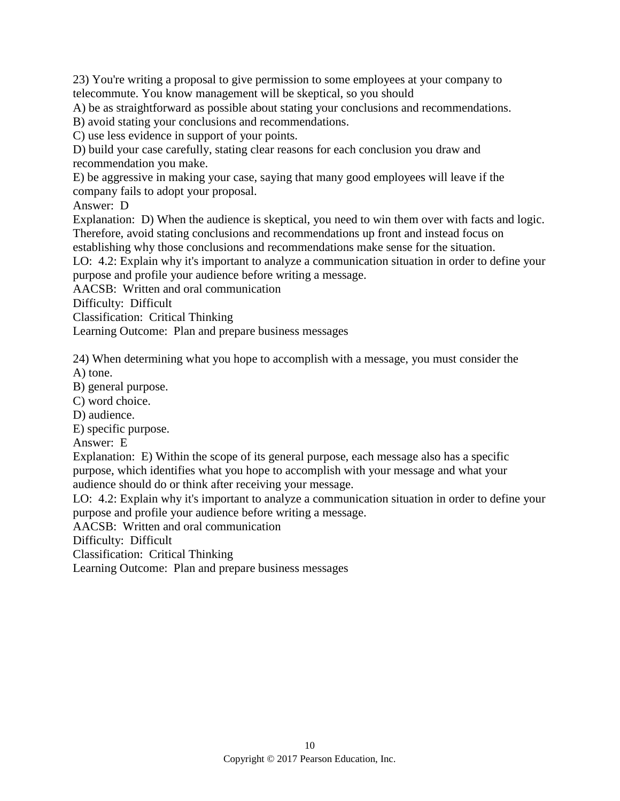23) You're writing a proposal to give permission to some employees at your company to telecommute. You know management will be skeptical, so you should

A) be as straightforward as possible about stating your conclusions and recommendations.

B) avoid stating your conclusions and recommendations.

C) use less evidence in support of your points.

D) build your case carefully, stating clear reasons for each conclusion you draw and recommendation you make.

E) be aggressive in making your case, saying that many good employees will leave if the company fails to adopt your proposal.

Answer: D

Explanation: D) When the audience is skeptical, you need to win them over with facts and logic. Therefore, avoid stating conclusions and recommendations up front and instead focus on establishing why those conclusions and recommendations make sense for the situation.

LO: 4.2: Explain why it's important to analyze a communication situation in order to define your purpose and profile your audience before writing a message.

AACSB: Written and oral communication

Difficulty: Difficult

Classification: Critical Thinking

Learning Outcome: Plan and prepare business messages

24) When determining what you hope to accomplish with a message, you must consider the A) tone.

B) general purpose.

C) word choice.

D) audience.

E) specific purpose.

Answer: E

Explanation: E) Within the scope of its general purpose, each message also has a specific purpose, which identifies what you hope to accomplish with your message and what your audience should do or think after receiving your message.

LO: 4.2: Explain why it's important to analyze a communication situation in order to define your purpose and profile your audience before writing a message.

AACSB: Written and oral communication

Difficulty: Difficult

Classification: Critical Thinking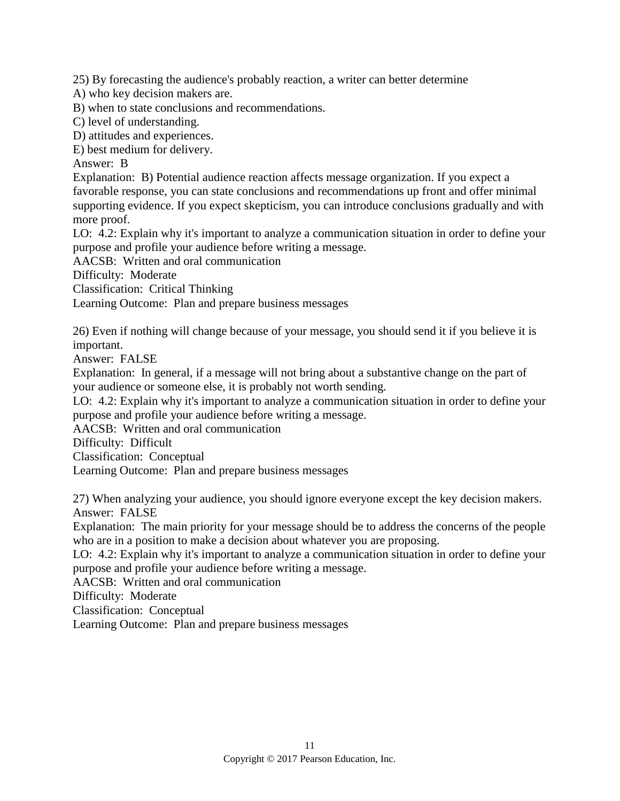25) By forecasting the audience's probably reaction, a writer can better determine

A) who key decision makers are.

B) when to state conclusions and recommendations.

C) level of understanding.

D) attitudes and experiences.

E) best medium for delivery.

Answer: B

Explanation: B) Potential audience reaction affects message organization. If you expect a favorable response, you can state conclusions and recommendations up front and offer minimal supporting evidence. If you expect skepticism, you can introduce conclusions gradually and with more proof.

LO: 4.2: Explain why it's important to analyze a communication situation in order to define your purpose and profile your audience before writing a message.

AACSB: Written and oral communication

Difficulty: Moderate

Classification: Critical Thinking

Learning Outcome: Plan and prepare business messages

26) Even if nothing will change because of your message, you should send it if you believe it is important.

Answer: FALSE

Explanation: In general, if a message will not bring about a substantive change on the part of your audience or someone else, it is probably not worth sending.

LO: 4.2: Explain why it's important to analyze a communication situation in order to define your purpose and profile your audience before writing a message.

AACSB: Written and oral communication

Difficulty: Difficult

Classification: Conceptual

Learning Outcome: Plan and prepare business messages

27) When analyzing your audience, you should ignore everyone except the key decision makers. Answer: FALSE

Explanation: The main priority for your message should be to address the concerns of the people who are in a position to make a decision about whatever you are proposing.

LO: 4.2: Explain why it's important to analyze a communication situation in order to define your purpose and profile your audience before writing a message.

AACSB: Written and oral communication

Difficulty: Moderate

Classification: Conceptual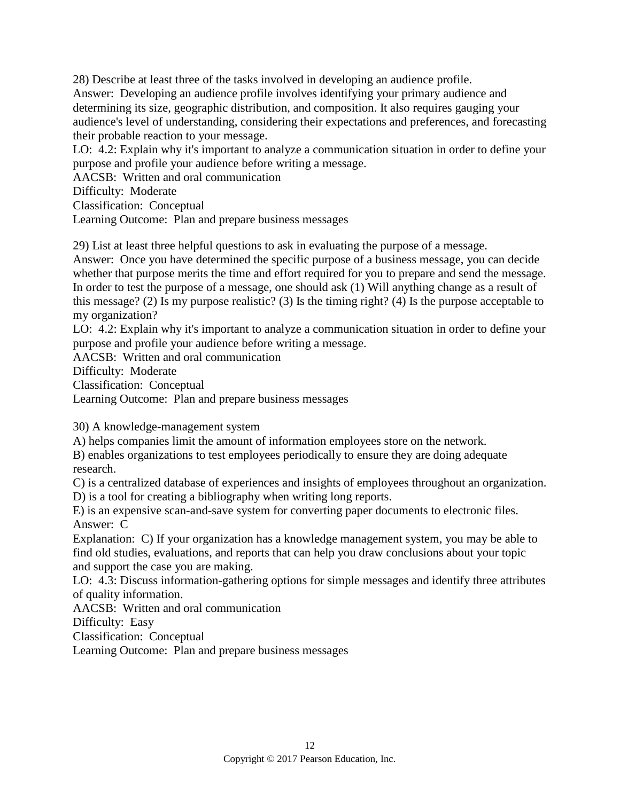28) Describe at least three of the tasks involved in developing an audience profile. Answer: Developing an audience profile involves identifying your primary audience and determining its size, geographic distribution, and composition. It also requires gauging your audience's level of understanding, considering their expectations and preferences, and forecasting their probable reaction to your message.

LO: 4.2: Explain why it's important to analyze a communication situation in order to define your purpose and profile your audience before writing a message.

AACSB: Written and oral communication

Difficulty: Moderate

Classification: Conceptual

Learning Outcome: Plan and prepare business messages

29) List at least three helpful questions to ask in evaluating the purpose of a message.

Answer: Once you have determined the specific purpose of a business message, you can decide whether that purpose merits the time and effort required for you to prepare and send the message. In order to test the purpose of a message, one should ask (1) Will anything change as a result of this message? (2) Is my purpose realistic? (3) Is the timing right? (4) Is the purpose acceptable to my organization?

LO: 4.2: Explain why it's important to analyze a communication situation in order to define your purpose and profile your audience before writing a message.

AACSB: Written and oral communication

Difficulty: Moderate

Classification: Conceptual

Learning Outcome: Plan and prepare business messages

30) A knowledge-management system

A) helps companies limit the amount of information employees store on the network.

B) enables organizations to test employees periodically to ensure they are doing adequate research.

C) is a centralized database of experiences and insights of employees throughout an organization. D) is a tool for creating a bibliography when writing long reports.

E) is an expensive scan-and-save system for converting paper documents to electronic files. Answer: C

Explanation: C) If your organization has a knowledge management system, you may be able to find old studies, evaluations, and reports that can help you draw conclusions about your topic and support the case you are making.

LO: 4.3: Discuss information-gathering options for simple messages and identify three attributes of quality information.

AACSB: Written and oral communication

Difficulty: Easy

Classification: Conceptual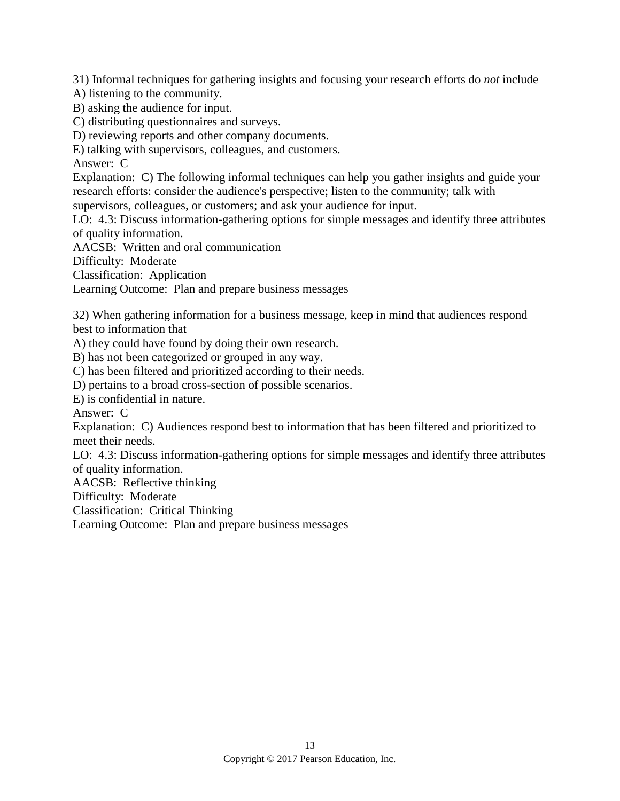31) Informal techniques for gathering insights and focusing your research efforts do *not* include

A) listening to the community.

B) asking the audience for input.

C) distributing questionnaires and surveys.

D) reviewing reports and other company documents.

E) talking with supervisors, colleagues, and customers.

Answer: C

Explanation: C) The following informal techniques can help you gather insights and guide your research efforts: consider the audience's perspective; listen to the community; talk with supervisors, colleagues, or customers; and ask your audience for input.

LO: 4.3: Discuss information-gathering options for simple messages and identify three attributes of quality information.

AACSB: Written and oral communication

Difficulty: Moderate

Classification: Application

Learning Outcome: Plan and prepare business messages

32) When gathering information for a business message, keep in mind that audiences respond best to information that

A) they could have found by doing their own research.

B) has not been categorized or grouped in any way.

C) has been filtered and prioritized according to their needs.

D) pertains to a broad cross-section of possible scenarios.

E) is confidential in nature.

Answer: C

Explanation: C) Audiences respond best to information that has been filtered and prioritized to meet their needs.

LO: 4.3: Discuss information-gathering options for simple messages and identify three attributes of quality information.

AACSB: Reflective thinking

Difficulty: Moderate

Classification: Critical Thinking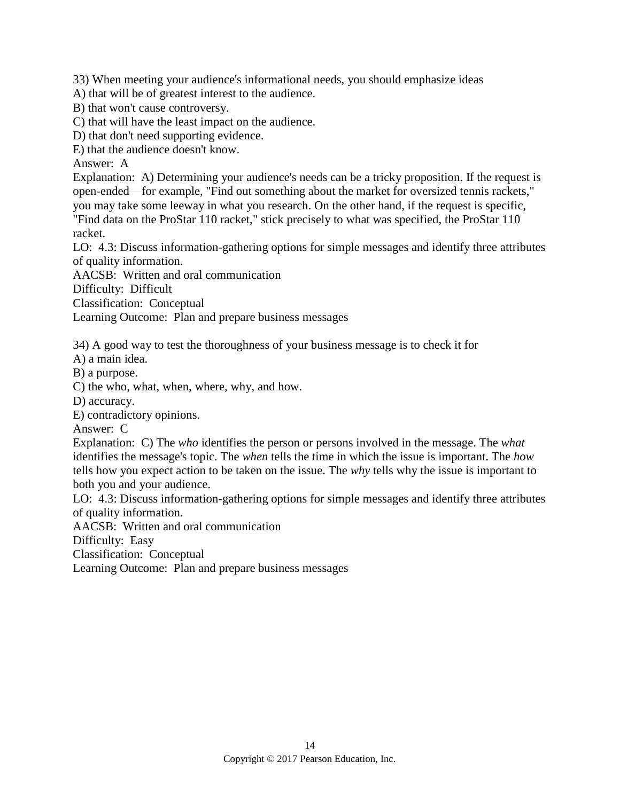33) When meeting your audience's informational needs, you should emphasize ideas

A) that will be of greatest interest to the audience.

B) that won't cause controversy.

C) that will have the least impact on the audience.

D) that don't need supporting evidence.

E) that the audience doesn't know.

Answer: A

Explanation: A) Determining your audience's needs can be a tricky proposition. If the request is open-ended—for example, "Find out something about the market for oversized tennis rackets," you may take some leeway in what you research. On the other hand, if the request is specific,

"Find data on the ProStar 110 racket," stick precisely to what was specified, the ProStar 110 racket.

LO: 4.3: Discuss information-gathering options for simple messages and identify three attributes of quality information.

AACSB: Written and oral communication

Difficulty: Difficult

Classification: Conceptual

Learning Outcome: Plan and prepare business messages

34) A good way to test the thoroughness of your business message is to check it for

A) a main idea.

B) a purpose.

C) the who, what, when, where, why, and how.

D) accuracy.

E) contradictory opinions.

Answer: C

Explanation: C) The *who* identifies the person or persons involved in the message. The *what* identifies the message's topic. The *when* tells the time in which the issue is important. The *how* tells how you expect action to be taken on the issue. The *why* tells why the issue is important to both you and your audience.

LO: 4.3: Discuss information-gathering options for simple messages and identify three attributes of quality information.

AACSB: Written and oral communication

Difficulty: Easy

Classification: Conceptual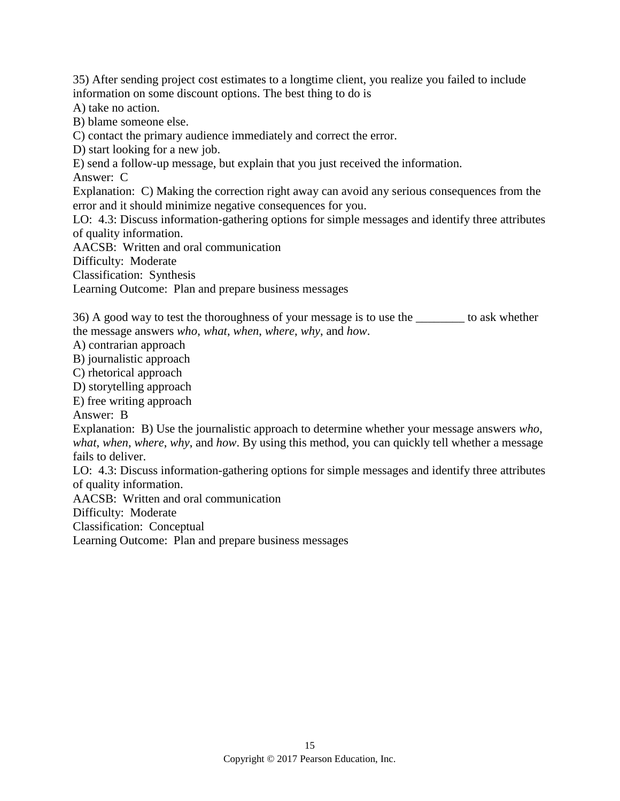35) After sending project cost estimates to a longtime client, you realize you failed to include information on some discount options. The best thing to do is

A) take no action.

B) blame someone else.

C) contact the primary audience immediately and correct the error.

D) start looking for a new job.

E) send a follow-up message, but explain that you just received the information.

Answer: C

Explanation: C) Making the correction right away can avoid any serious consequences from the error and it should minimize negative consequences for you.

LO: 4.3: Discuss information-gathering options for simple messages and identify three attributes of quality information.

AACSB: Written and oral communication

Difficulty: Moderate

Classification: Synthesis

Learning Outcome: Plan and prepare business messages

36) A good way to test the thoroughness of your message is to use the \_\_\_\_\_\_\_\_ to ask whether the message answers *who*, *what*, *when*, *where*, *why*, and *how*.

A) contrarian approach

B) journalistic approach

C) rhetorical approach

D) storytelling approach

E) free writing approach

Answer: B

Explanation: B) Use the journalistic approach to determine whether your message answers *who*, *what*, *when*, *where*, *why*, and *how*. By using this method, you can quickly tell whether a message fails to deliver.

LO: 4.3: Discuss information-gathering options for simple messages and identify three attributes of quality information.

AACSB: Written and oral communication

Difficulty: Moderate

Classification: Conceptual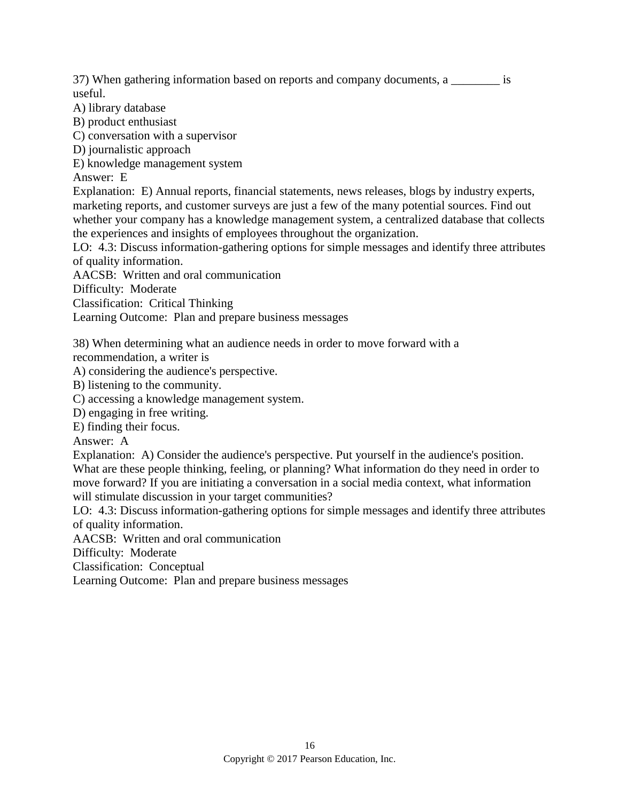37) When gathering information based on reports and company documents, a  $\qquad \qquad$  is useful.

A) library database

B) product enthusiast

C) conversation with a supervisor

D) journalistic approach

E) knowledge management system

Answer: E

Explanation: E) Annual reports, financial statements, news releases, blogs by industry experts, marketing reports, and customer surveys are just a few of the many potential sources. Find out whether your company has a knowledge management system, a centralized database that collects the experiences and insights of employees throughout the organization.

LO: 4.3: Discuss information-gathering options for simple messages and identify three attributes of quality information.

AACSB: Written and oral communication

Difficulty: Moderate

Classification: Critical Thinking

Learning Outcome: Plan and prepare business messages

38) When determining what an audience needs in order to move forward with a recommendation, a writer is

A) considering the audience's perspective.

B) listening to the community.

C) accessing a knowledge management system.

D) engaging in free writing.

E) finding their focus.

Answer: A

Explanation: A) Consider the audience's perspective. Put yourself in the audience's position. What are these people thinking, feeling, or planning? What information do they need in order to move forward? If you are initiating a conversation in a social media context, what information will stimulate discussion in your target communities?

LO: 4.3: Discuss information-gathering options for simple messages and identify three attributes of quality information.

AACSB: Written and oral communication

Difficulty: Moderate

Classification: Conceptual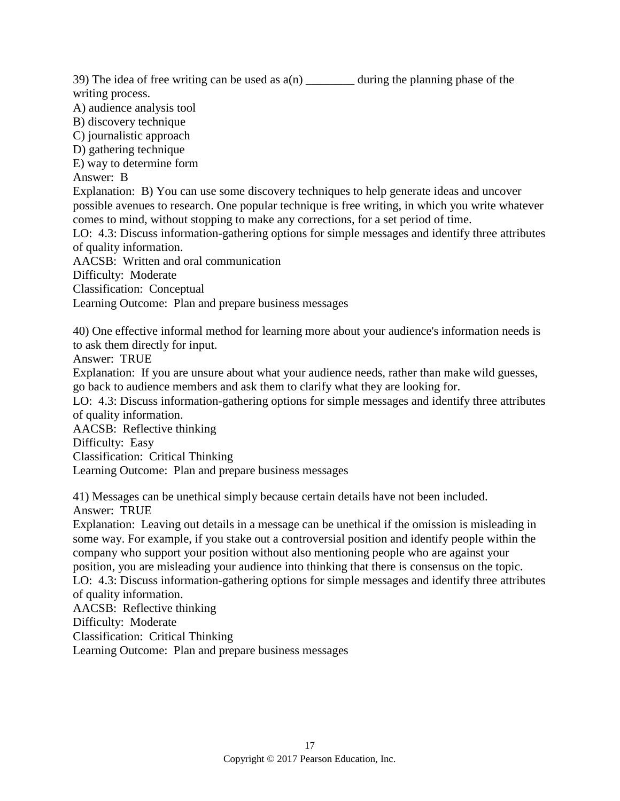39) The idea of free writing can be used as  $a(n)$  during the planning phase of the writing process.

- A) audience analysis tool
- B) discovery technique
- C) journalistic approach
- D) gathering technique
- E) way to determine form

Answer: B

Explanation: B) You can use some discovery techniques to help generate ideas and uncover possible avenues to research. One popular technique is free writing, in which you write whatever comes to mind, without stopping to make any corrections, for a set period of time.

LO: 4.3: Discuss information-gathering options for simple messages and identify three attributes of quality information.

AACSB: Written and oral communication

Difficulty: Moderate

Classification: Conceptual

Learning Outcome: Plan and prepare business messages

40) One effective informal method for learning more about your audience's information needs is to ask them directly for input.

Answer: TRUE

Explanation: If you are unsure about what your audience needs, rather than make wild guesses, go back to audience members and ask them to clarify what they are looking for.

LO: 4.3: Discuss information-gathering options for simple messages and identify three attributes of quality information.

AACSB: Reflective thinking

Difficulty: Easy

Classification: Critical Thinking

Learning Outcome: Plan and prepare business messages

41) Messages can be unethical simply because certain details have not been included. Answer: TRUE

Explanation: Leaving out details in a message can be unethical if the omission is misleading in some way. For example, if you stake out a controversial position and identify people within the company who support your position without also mentioning people who are against your position, you are misleading your audience into thinking that there is consensus on the topic. LO: 4.3: Discuss information-gathering options for simple messages and identify three attributes of quality information.

AACSB: Reflective thinking Difficulty: Moderate

Classification: Critical Thinking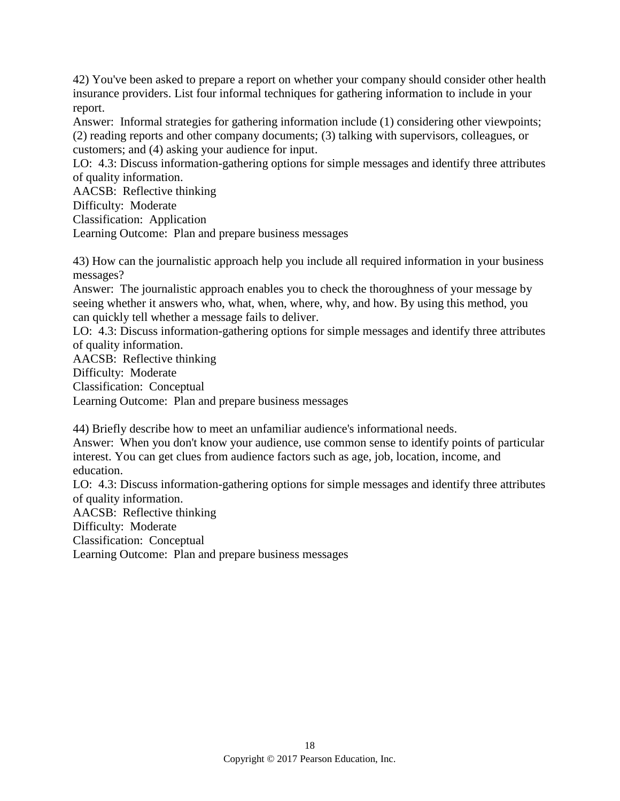42) You've been asked to prepare a report on whether your company should consider other health insurance providers. List four informal techniques for gathering information to include in your report.

Answer: Informal strategies for gathering information include (1) considering other viewpoints; (2) reading reports and other company documents; (3) talking with supervisors, colleagues, or customers; and (4) asking your audience for input.

LO: 4.3: Discuss information-gathering options for simple messages and identify three attributes of quality information.

AACSB: Reflective thinking

Difficulty: Moderate

Classification: Application

Learning Outcome: Plan and prepare business messages

43) How can the journalistic approach help you include all required information in your business messages?

Answer: The journalistic approach enables you to check the thoroughness of your message by seeing whether it answers who, what, when, where, why, and how. By using this method, you can quickly tell whether a message fails to deliver.

LO: 4.3: Discuss information-gathering options for simple messages and identify three attributes of quality information.

AACSB: Reflective thinking

Difficulty: Moderate

Classification: Conceptual

Learning Outcome: Plan and prepare business messages

44) Briefly describe how to meet an unfamiliar audience's informational needs.

Answer: When you don't know your audience, use common sense to identify points of particular interest. You can get clues from audience factors such as age, job, location, income, and education.

LO: 4.3: Discuss information-gathering options for simple messages and identify three attributes of quality information.

AACSB: Reflective thinking

Difficulty: Moderate

Classification: Conceptual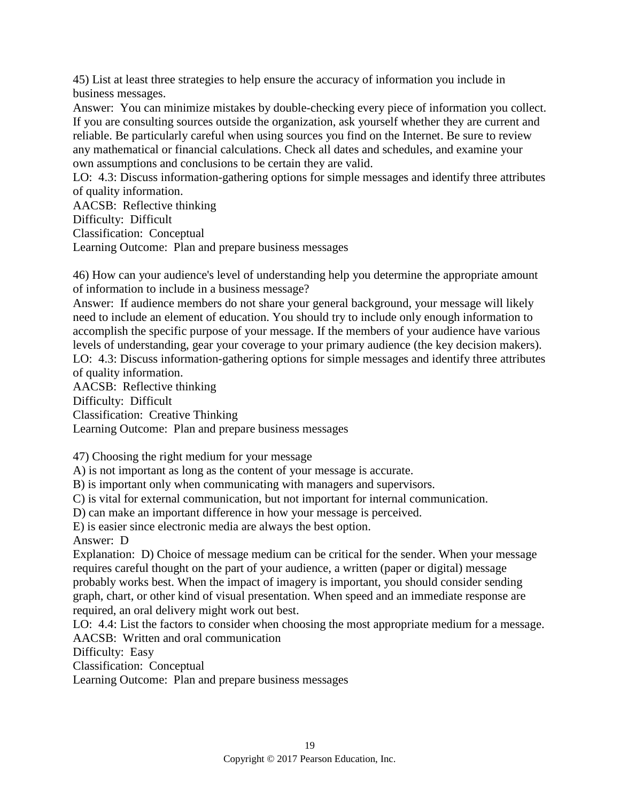45) List at least three strategies to help ensure the accuracy of information you include in business messages.

Answer: You can minimize mistakes by double-checking every piece of information you collect. If you are consulting sources outside the organization, ask yourself whether they are current and reliable. Be particularly careful when using sources you find on the Internet. Be sure to review any mathematical or financial calculations. Check all dates and schedules, and examine your own assumptions and conclusions to be certain they are valid.

LO: 4.3: Discuss information-gathering options for simple messages and identify three attributes of quality information.

AACSB: Reflective thinking

Difficulty: Difficult

Classification: Conceptual

Learning Outcome: Plan and prepare business messages

46) How can your audience's level of understanding help you determine the appropriate amount of information to include in a business message?

Answer: If audience members do not share your general background, your message will likely need to include an element of education. You should try to include only enough information to accomplish the specific purpose of your message. If the members of your audience have various levels of understanding, gear your coverage to your primary audience (the key decision makers). LO: 4.3: Discuss information-gathering options for simple messages and identify three attributes of quality information.

AACSB: Reflective thinking

Difficulty: Difficult

Classification: Creative Thinking

Learning Outcome: Plan and prepare business messages

47) Choosing the right medium for your message

A) is not important as long as the content of your message is accurate.

B) is important only when communicating with managers and supervisors.

C) is vital for external communication, but not important for internal communication.

D) can make an important difference in how your message is perceived.

E) is easier since electronic media are always the best option.

Answer: D

Explanation: D) Choice of message medium can be critical for the sender. When your message requires careful thought on the part of your audience, a written (paper or digital) message probably works best. When the impact of imagery is important, you should consider sending graph, chart, or other kind of visual presentation. When speed and an immediate response are required, an oral delivery might work out best.

LO: 4.4: List the factors to consider when choosing the most appropriate medium for a message. AACSB: Written and oral communication

Difficulty: Easy

Classification: Conceptual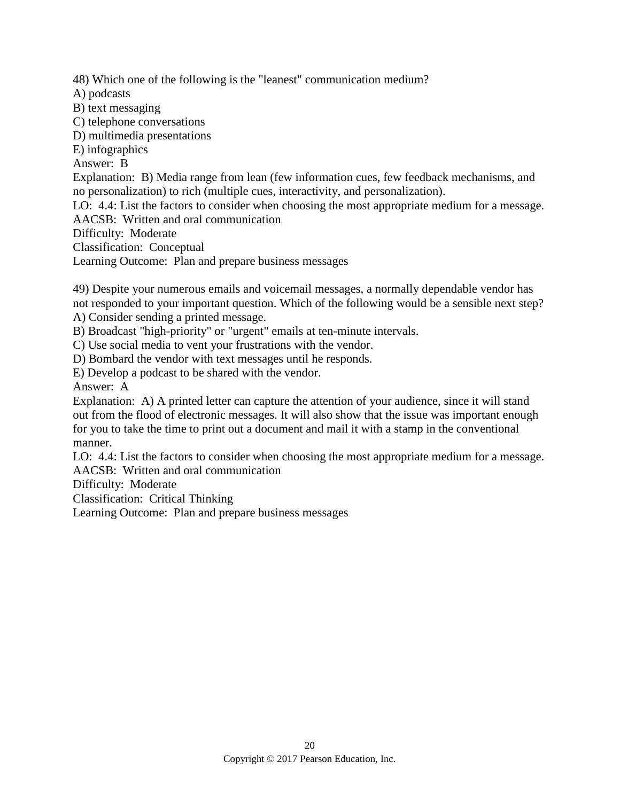48) Which one of the following is the "leanest" communication medium?

A) podcasts

B) text messaging

C) telephone conversations

D) multimedia presentations

E) infographics

Answer: B

Explanation: B) Media range from lean (few information cues, few feedback mechanisms, and no personalization) to rich (multiple cues, interactivity, and personalization).

LO: 4.4: List the factors to consider when choosing the most appropriate medium for a message. AACSB: Written and oral communication

Difficulty: Moderate

Classification: Conceptual

Learning Outcome: Plan and prepare business messages

49) Despite your numerous emails and voicemail messages, a normally dependable vendor has not responded to your important question. Which of the following would be a sensible next step? A) Consider sending a printed message.

B) Broadcast "high-priority" or "urgent" emails at ten-minute intervals.

C) Use social media to vent your frustrations with the vendor.

D) Bombard the vendor with text messages until he responds.

E) Develop a podcast to be shared with the vendor.

Answer: A

Explanation: A) A printed letter can capture the attention of your audience, since it will stand out from the flood of electronic messages. It will also show that the issue was important enough for you to take the time to print out a document and mail it with a stamp in the conventional manner.

LO: 4.4: List the factors to consider when choosing the most appropriate medium for a message. AACSB: Written and oral communication

Difficulty: Moderate

Classification: Critical Thinking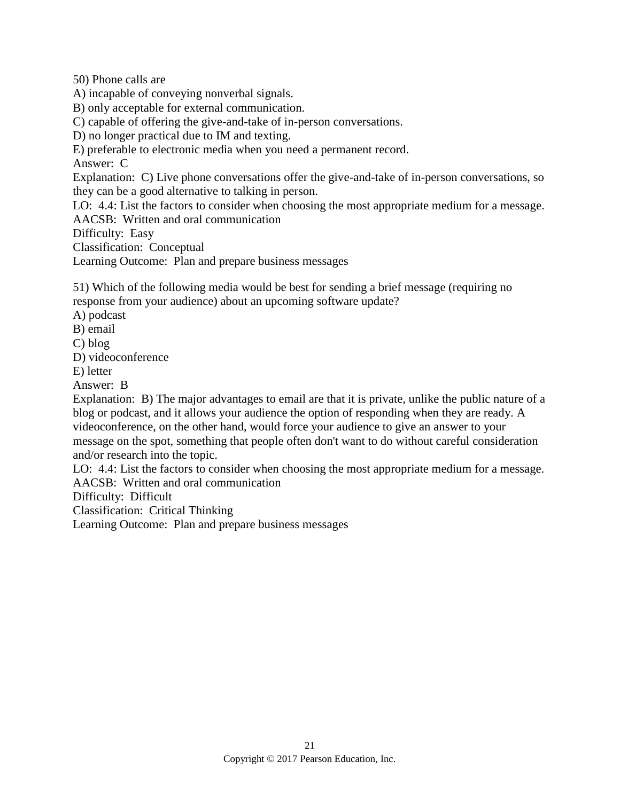50) Phone calls are

A) incapable of conveying nonverbal signals.

B) only acceptable for external communication.

C) capable of offering the give-and-take of in-person conversations.

D) no longer practical due to IM and texting.

E) preferable to electronic media when you need a permanent record.

Answer: C

Explanation: C) Live phone conversations offer the give-and-take of in-person conversations, so they can be a good alternative to talking in person.

LO: 4.4: List the factors to consider when choosing the most appropriate medium for a message. AACSB: Written and oral communication

Difficulty: Easy

Classification: Conceptual

Learning Outcome: Plan and prepare business messages

51) Which of the following media would be best for sending a brief message (requiring no response from your audience) about an upcoming software update?

A) podcast

B) email

C) blog

D) videoconference

E) letter

Answer: B

Explanation: B) The major advantages to email are that it is private, unlike the public nature of a blog or podcast, and it allows your audience the option of responding when they are ready. A videoconference, on the other hand, would force your audience to give an answer to your message on the spot, something that people often don't want to do without careful consideration and/or research into the topic.

LO: 4.4: List the factors to consider when choosing the most appropriate medium for a message.

AACSB: Written and oral communication

Difficulty: Difficult

Classification: Critical Thinking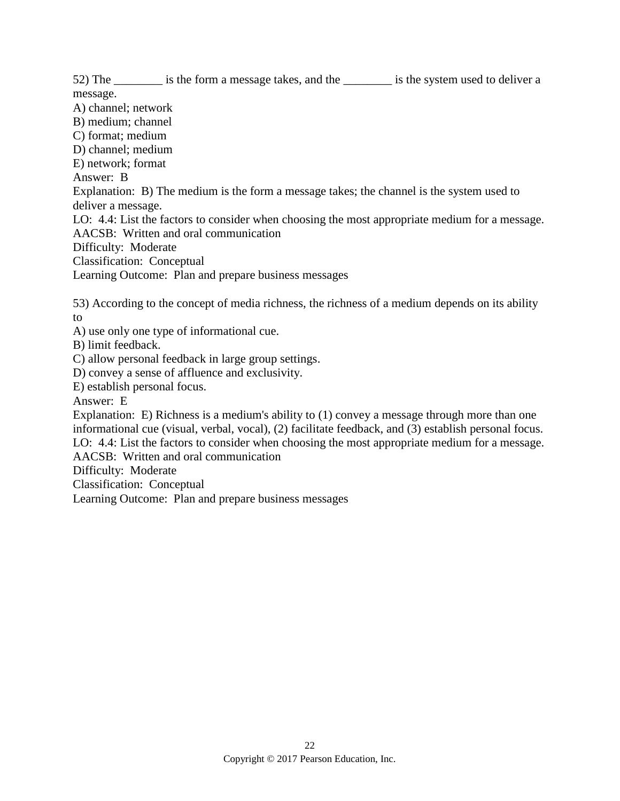52) The same is the form a message takes, and the sign is the system used to deliver a

message.

A) channel; network

B) medium; channel

C) format; medium D) channel; medium

E) network; format

Answer: B

Explanation: B) The medium is the form a message takes; the channel is the system used to deliver a message.

LO: 4.4: List the factors to consider when choosing the most appropriate medium for a message. AACSB: Written and oral communication

Difficulty: Moderate

Classification: Conceptual

Learning Outcome: Plan and prepare business messages

53) According to the concept of media richness, the richness of a medium depends on its ability to

A) use only one type of informational cue.

B) limit feedback.

C) allow personal feedback in large group settings.

D) convey a sense of affluence and exclusivity.

E) establish personal focus.

Answer: E

Explanation: E) Richness is a medium's ability to (1) convey a message through more than one informational cue (visual, verbal, vocal), (2) facilitate feedback, and (3) establish personal focus. LO: 4.4: List the factors to consider when choosing the most appropriate medium for a message.

AACSB: Written and oral communication

Difficulty: Moderate

Classification: Conceptual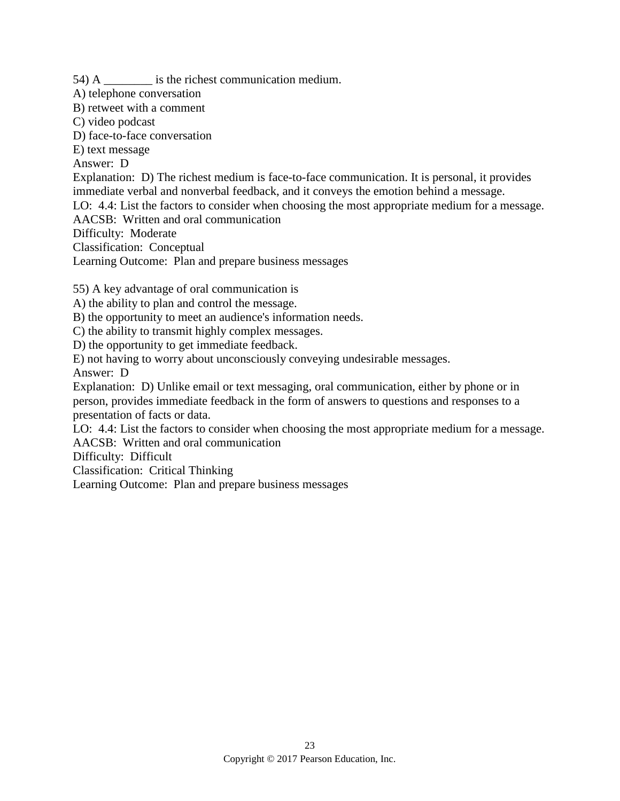54) A \_\_\_\_\_\_\_\_ is the richest communication medium.

A) telephone conversation

B) retweet with a comment

C) video podcast

D) face-to-face conversation

E) text message

Answer: D

Explanation: D) The richest medium is face-to-face communication. It is personal, it provides immediate verbal and nonverbal feedback, and it conveys the emotion behind a message.

LO: 4.4: List the factors to consider when choosing the most appropriate medium for a message.

AACSB: Written and oral communication

Difficulty: Moderate

Classification: Conceptual

Learning Outcome: Plan and prepare business messages

55) A key advantage of oral communication is

A) the ability to plan and control the message.

B) the opportunity to meet an audience's information needs.

C) the ability to transmit highly complex messages.

D) the opportunity to get immediate feedback.

E) not having to worry about unconsciously conveying undesirable messages.

Answer: D

Explanation: D) Unlike email or text messaging, oral communication, either by phone or in person, provides immediate feedback in the form of answers to questions and responses to a presentation of facts or data.

LO: 4.4: List the factors to consider when choosing the most appropriate medium for a message. AACSB: Written and oral communication

Difficulty: Difficult

Classification: Critical Thinking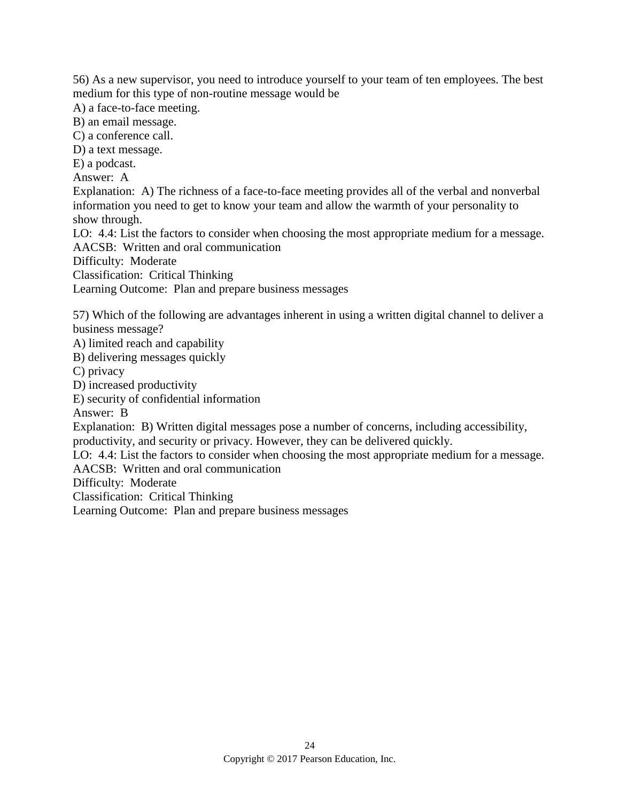56) As a new supervisor, you need to introduce yourself to your team of ten employees. The best medium for this type of non-routine message would be

A) a face-to-face meeting.

B) an email message.

C) a conference call.

D) a text message.

E) a podcast.

Answer: A

Explanation: A) The richness of a face-to-face meeting provides all of the verbal and nonverbal information you need to get to know your team and allow the warmth of your personality to show through.

LO: 4.4: List the factors to consider when choosing the most appropriate medium for a message. AACSB: Written and oral communication

Difficulty: Moderate

Classification: Critical Thinking

Learning Outcome: Plan and prepare business messages

57) Which of the following are advantages inherent in using a written digital channel to deliver a business message?

A) limited reach and capability

B) delivering messages quickly

C) privacy

D) increased productivity

E) security of confidential information

Answer: B

Explanation: B) Written digital messages pose a number of concerns, including accessibility, productivity, and security or privacy. However, they can be delivered quickly.

LO: 4.4: List the factors to consider when choosing the most appropriate medium for a message. AACSB: Written and oral communication

Difficulty: Moderate

Classification: Critical Thinking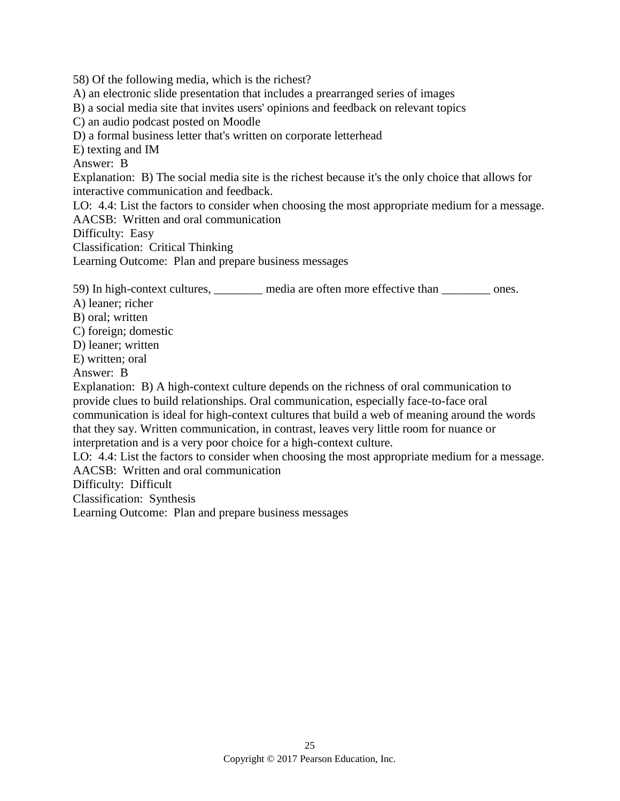58) Of the following media, which is the richest?

A) an electronic slide presentation that includes a prearranged series of images

B) a social media site that invites users' opinions and feedback on relevant topics

C) an audio podcast posted on Moodle

D) a formal business letter that's written on corporate letterhead

E) texting and IM

Answer: B

Explanation: B) The social media site is the richest because it's the only choice that allows for interactive communication and feedback.

LO: 4.4: List the factors to consider when choosing the most appropriate medium for a message. AACSB: Written and oral communication

Difficulty: Easy

Classification: Critical Thinking

Learning Outcome: Plan and prepare business messages

59) In high-context cultures, media are often more effective than ones.

A) leaner; richer

B) oral; written

C) foreign; domestic

D) leaner; written

E) written; oral

Answer: B

Explanation: B) A high-context culture depends on the richness of oral communication to provide clues to build relationships. Oral communication, especially face-to-face oral communication is ideal for high-context cultures that build a web of meaning around the words that they say. Written communication, in contrast, leaves very little room for nuance or interpretation and is a very poor choice for a high-context culture.

LO: 4.4: List the factors to consider when choosing the most appropriate medium for a message. AACSB: Written and oral communication

Difficulty: Difficult

Classification: Synthesis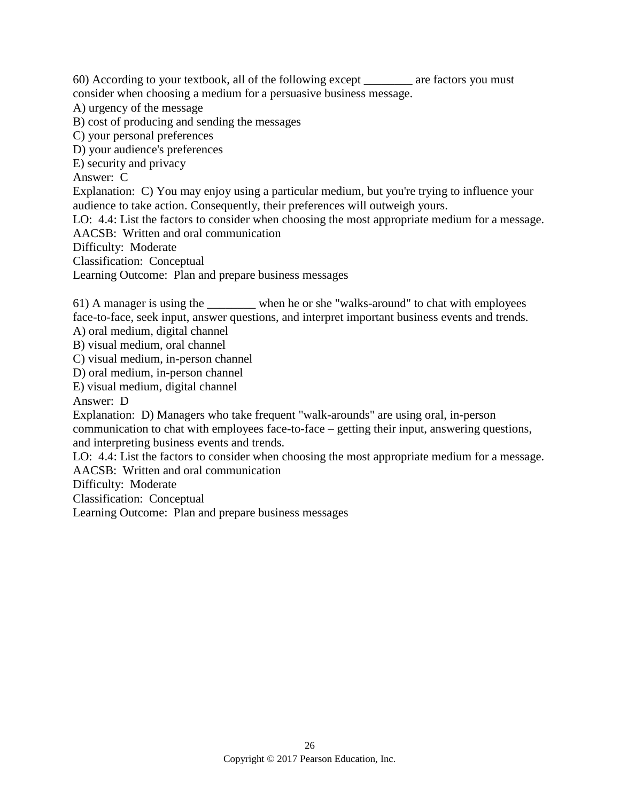60) According to your textbook, all of the following except \_\_\_\_\_\_\_\_ are factors you must consider when choosing a medium for a persuasive business message.

A) urgency of the message

B) cost of producing and sending the messages

C) your personal preferences

D) your audience's preferences

E) security and privacy

Answer: C

Explanation: C) You may enjoy using a particular medium, but you're trying to influence your audience to take action. Consequently, their preferences will outweigh yours.

LO: 4.4: List the factors to consider when choosing the most appropriate medium for a message. AACSB: Written and oral communication

Difficulty: Moderate

Classification: Conceptual

Learning Outcome: Plan and prepare business messages

61) A manager is using the \_\_\_\_\_\_\_\_ when he or she "walks-around" to chat with employees face-to-face, seek input, answer questions, and interpret important business events and trends.

A) oral medium, digital channel

B) visual medium, oral channel

C) visual medium, in-person channel

D) oral medium, in-person channel

E) visual medium, digital channel

Answer: D

Explanation: D) Managers who take frequent "walk-arounds" are using oral, in-person communication to chat with employees face-to-face – getting their input, answering questions, and interpreting business events and trends.

LO: 4.4: List the factors to consider when choosing the most appropriate medium for a message.

AACSB: Written and oral communication

Difficulty: Moderate

Classification: Conceptual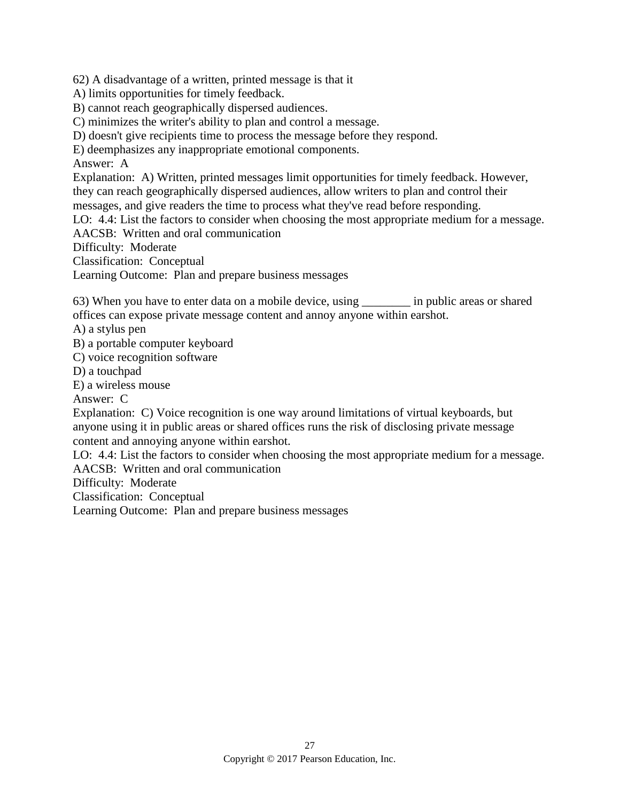62) A disadvantage of a written, printed message is that it

A) limits opportunities for timely feedback.

B) cannot reach geographically dispersed audiences.

C) minimizes the writer's ability to plan and control a message.

D) doesn't give recipients time to process the message before they respond.

E) deemphasizes any inappropriate emotional components.

Answer: A

Explanation: A) Written, printed messages limit opportunities for timely feedback. However, they can reach geographically dispersed audiences, allow writers to plan and control their messages, and give readers the time to process what they've read before responding.

LO: 4.4: List the factors to consider when choosing the most appropriate medium for a message.

AACSB: Written and oral communication

Difficulty: Moderate

Classification: Conceptual

Learning Outcome: Plan and prepare business messages

63) When you have to enter data on a mobile device, using in public areas or shared offices can expose private message content and annoy anyone within earshot.

A) a stylus pen

B) a portable computer keyboard

C) voice recognition software

D) a touchpad

E) a wireless mouse

Answer: C

Explanation: C) Voice recognition is one way around limitations of virtual keyboards, but anyone using it in public areas or shared offices runs the risk of disclosing private message content and annoying anyone within earshot.

LO: 4.4: List the factors to consider when choosing the most appropriate medium for a message. AACSB: Written and oral communication

Difficulty: Moderate

Classification: Conceptual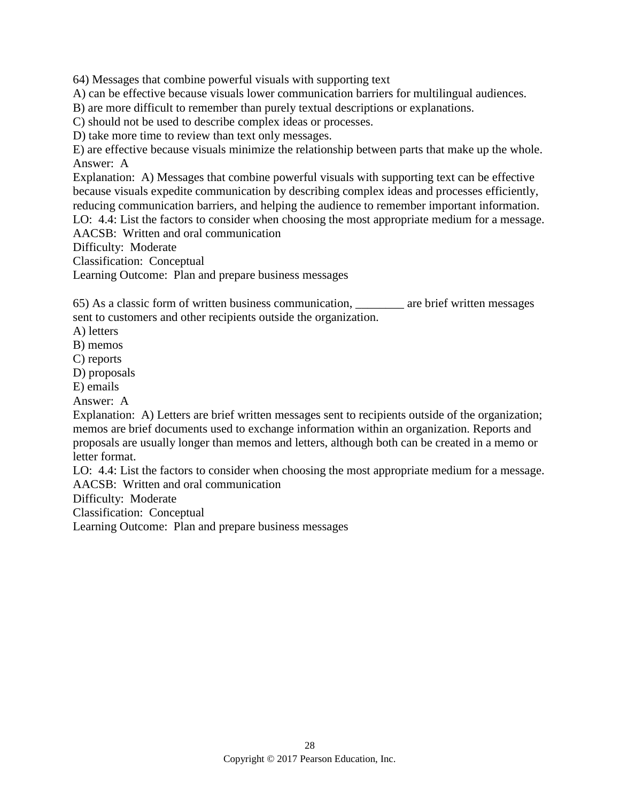64) Messages that combine powerful visuals with supporting text

A) can be effective because visuals lower communication barriers for multilingual audiences.

B) are more difficult to remember than purely textual descriptions or explanations.

C) should not be used to describe complex ideas or processes.

D) take more time to review than text only messages.

E) are effective because visuals minimize the relationship between parts that make up the whole. Answer: A

Explanation: A) Messages that combine powerful visuals with supporting text can be effective because visuals expedite communication by describing complex ideas and processes efficiently, reducing communication barriers, and helping the audience to remember important information.

LO: 4.4: List the factors to consider when choosing the most appropriate medium for a message. AACSB: Written and oral communication

Difficulty: Moderate

Classification: Conceptual

Learning Outcome: Plan and prepare business messages

65) As a classic form of written business communication, \_\_\_\_\_\_\_\_ are brief written messages sent to customers and other recipients outside the organization.

A) letters

B) memos

C) reports

D) proposals

E) emails

Answer: A

Explanation: A) Letters are brief written messages sent to recipients outside of the organization; memos are brief documents used to exchange information within an organization. Reports and proposals are usually longer than memos and letters, although both can be created in a memo or letter format.

LO: 4.4: List the factors to consider when choosing the most appropriate medium for a message. AACSB: Written and oral communication

Difficulty: Moderate

Classification: Conceptual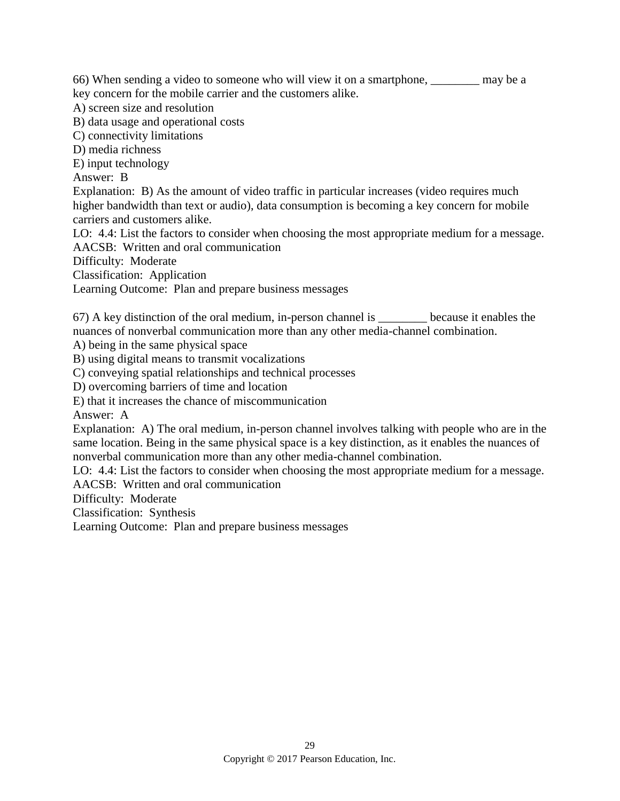66) When sending a video to someone who will view it on a smartphone, \_\_\_\_\_\_\_\_ may be a

key concern for the mobile carrier and the customers alike.

A) screen size and resolution

B) data usage and operational costs

C) connectivity limitations

D) media richness

E) input technology

Answer: B

Explanation: B) As the amount of video traffic in particular increases (video requires much higher bandwidth than text or audio), data consumption is becoming a key concern for mobile carriers and customers alike.

LO: 4.4: List the factors to consider when choosing the most appropriate medium for a message. AACSB: Written and oral communication

Difficulty: Moderate

Classification: Application

Learning Outcome: Plan and prepare business messages

67) A key distinction of the oral medium, in-person channel is \_\_\_\_\_\_\_\_ because it enables the nuances of nonverbal communication more than any other media-channel combination.

A) being in the same physical space

B) using digital means to transmit vocalizations

C) conveying spatial relationships and technical processes

D) overcoming barriers of time and location

E) that it increases the chance of miscommunication

Answer: A

Explanation: A) The oral medium, in-person channel involves talking with people who are in the same location. Being in the same physical space is a key distinction, as it enables the nuances of nonverbal communication more than any other media-channel combination.

LO: 4.4: List the factors to consider when choosing the most appropriate medium for a message. AACSB: Written and oral communication

Difficulty: Moderate

Classification: Synthesis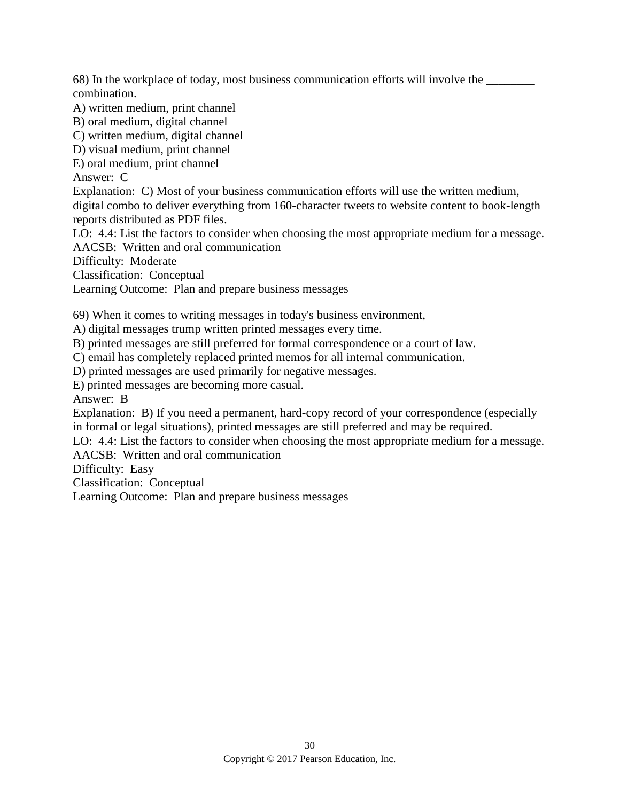68) In the workplace of today, most business communication efforts will involve the \_\_\_\_\_\_\_\_ combination.

A) written medium, print channel

B) oral medium, digital channel

C) written medium, digital channel

D) visual medium, print channel

E) oral medium, print channel

Answer: C

Explanation: C) Most of your business communication efforts will use the written medium, digital combo to deliver everything from 160-character tweets to website content to book-length reports distributed as PDF files.

LO: 4.4: List the factors to consider when choosing the most appropriate medium for a message. AACSB: Written and oral communication

Difficulty: Moderate

Classification: Conceptual

Learning Outcome: Plan and prepare business messages

69) When it comes to writing messages in today's business environment,

A) digital messages trump written printed messages every time.

B) printed messages are still preferred for formal correspondence or a court of law.

C) email has completely replaced printed memos for all internal communication.

D) printed messages are used primarily for negative messages.

E) printed messages are becoming more casual.

Answer: B

Explanation: B) If you need a permanent, hard-copy record of your correspondence (especially in formal or legal situations), printed messages are still preferred and may be required.

LO: 4.4: List the factors to consider when choosing the most appropriate medium for a message.

AACSB: Written and oral communication

Difficulty: Easy

Classification: Conceptual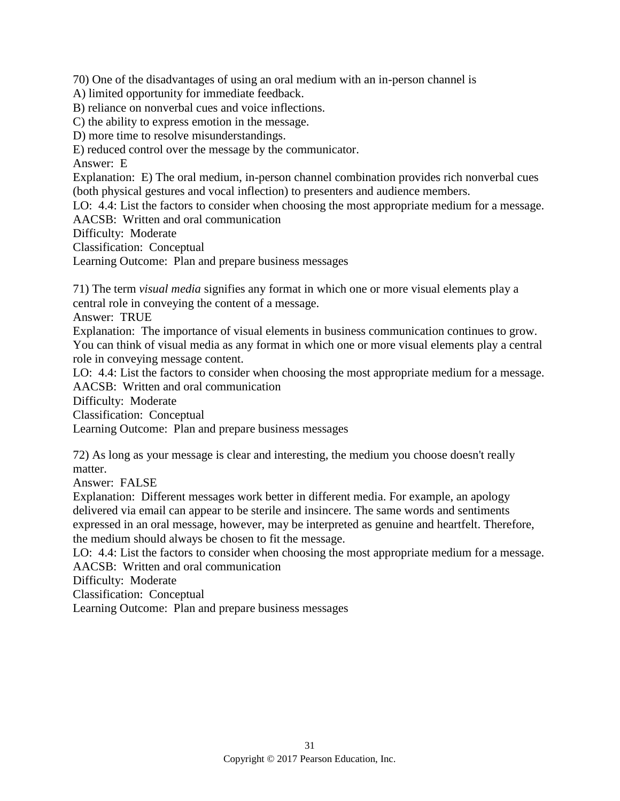70) One of the disadvantages of using an oral medium with an in-person channel is

A) limited opportunity for immediate feedback.

B) reliance on nonverbal cues and voice inflections.

C) the ability to express emotion in the message.

D) more time to resolve misunderstandings.

E) reduced control over the message by the communicator.

Answer: E

Explanation: E) The oral medium, in-person channel combination provides rich nonverbal cues (both physical gestures and vocal inflection) to presenters and audience members.

LO: 4.4: List the factors to consider when choosing the most appropriate medium for a message. AACSB: Written and oral communication

Difficulty: Moderate

Classification: Conceptual

Learning Outcome: Plan and prepare business messages

71) The term *visual media* signifies any format in which one or more visual elements play a central role in conveying the content of a message.

Answer: TRUE

Explanation: The importance of visual elements in business communication continues to grow. You can think of visual media as any format in which one or more visual elements play a central role in conveying message content.

LO: 4.4: List the factors to consider when choosing the most appropriate medium for a message. AACSB: Written and oral communication

Difficulty: Moderate

Classification: Conceptual

Learning Outcome: Plan and prepare business messages

72) As long as your message is clear and interesting, the medium you choose doesn't really matter.

Answer: FALSE

Explanation: Different messages work better in different media. For example, an apology delivered via email can appear to be sterile and insincere. The same words and sentiments expressed in an oral message, however, may be interpreted as genuine and heartfelt. Therefore, the medium should always be chosen to fit the message.

LO: 4.4: List the factors to consider when choosing the most appropriate medium for a message. AACSB: Written and oral communication

Difficulty: Moderate

Classification: Conceptual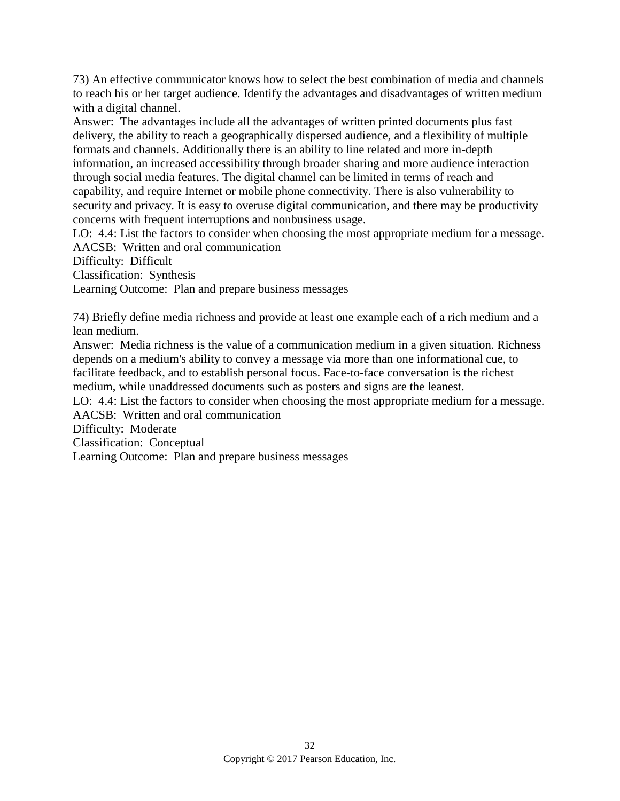73) An effective communicator knows how to select the best combination of media and channels to reach his or her target audience. Identify the advantages and disadvantages of written medium with a digital channel.

Answer: The advantages include all the advantages of written printed documents plus fast delivery, the ability to reach a geographically dispersed audience, and a flexibility of multiple formats and channels. Additionally there is an ability to line related and more in-depth information, an increased accessibility through broader sharing and more audience interaction through social media features. The digital channel can be limited in terms of reach and capability, and require Internet or mobile phone connectivity. There is also vulnerability to security and privacy. It is easy to overuse digital communication, and there may be productivity concerns with frequent interruptions and nonbusiness usage.

LO: 4.4: List the factors to consider when choosing the most appropriate medium for a message. AACSB: Written and oral communication

Difficulty: Difficult

Classification: Synthesis

Learning Outcome: Plan and prepare business messages

74) Briefly define media richness and provide at least one example each of a rich medium and a lean medium.

Answer: Media richness is the value of a communication medium in a given situation. Richness depends on a medium's ability to convey a message via more than one informational cue, to facilitate feedback, and to establish personal focus. Face-to-face conversation is the richest medium, while unaddressed documents such as posters and signs are the leanest.

LO: 4.4: List the factors to consider when choosing the most appropriate medium for a message. AACSB: Written and oral communication

Difficulty: Moderate

Classification: Conceptual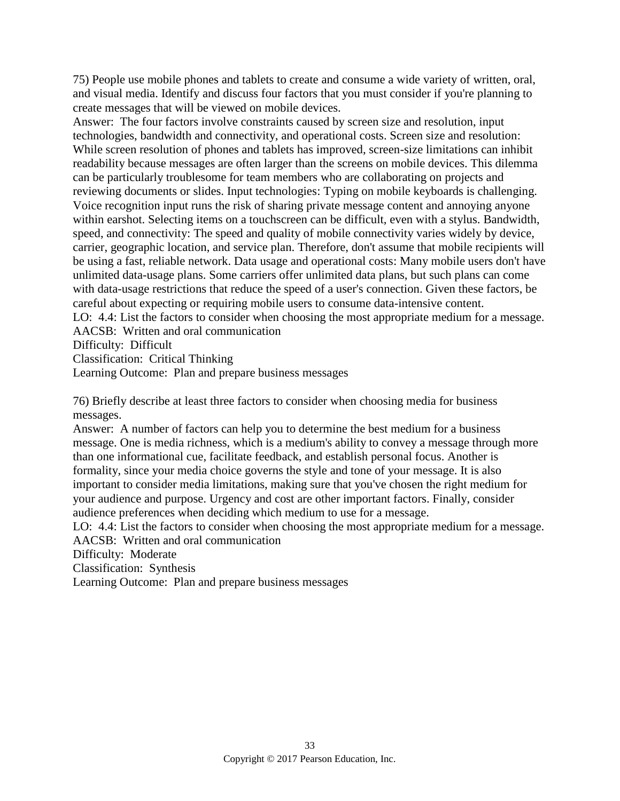75) People use mobile phones and tablets to create and consume a wide variety of written, oral, and visual media. Identify and discuss four factors that you must consider if you're planning to create messages that will be viewed on mobile devices.

Answer: The four factors involve constraints caused by screen size and resolution, input technologies, bandwidth and connectivity, and operational costs. Screen size and resolution: While screen resolution of phones and tablets has improved, screen-size limitations can inhibit readability because messages are often larger than the screens on mobile devices. This dilemma can be particularly troublesome for team members who are collaborating on projects and reviewing documents or slides. Input technologies: Typing on mobile keyboards is challenging. Voice recognition input runs the risk of sharing private message content and annoying anyone within earshot. Selecting items on a touchscreen can be difficult, even with a stylus. Bandwidth, speed, and connectivity: The speed and quality of mobile connectivity varies widely by device, carrier, geographic location, and service plan. Therefore, don't assume that mobile recipients will be using a fast, reliable network. Data usage and operational costs: Many mobile users don't have unlimited data-usage plans. Some carriers offer unlimited data plans, but such plans can come with data-usage restrictions that reduce the speed of a user's connection. Given these factors, be careful about expecting or requiring mobile users to consume data-intensive content.

LO: 4.4: List the factors to consider when choosing the most appropriate medium for a message. AACSB: Written and oral communication

Difficulty: Difficult

Classification: Critical Thinking

Learning Outcome: Plan and prepare business messages

76) Briefly describe at least three factors to consider when choosing media for business messages.

Answer: A number of factors can help you to determine the best medium for a business message. One is media richness, which is a medium's ability to convey a message through more than one informational cue, facilitate feedback, and establish personal focus. Another is formality, since your media choice governs the style and tone of your message. It is also important to consider media limitations, making sure that you've chosen the right medium for your audience and purpose. Urgency and cost are other important factors. Finally, consider audience preferences when deciding which medium to use for a message.

LO: 4.4: List the factors to consider when choosing the most appropriate medium for a message. AACSB: Written and oral communication

Difficulty: Moderate

Classification: Synthesis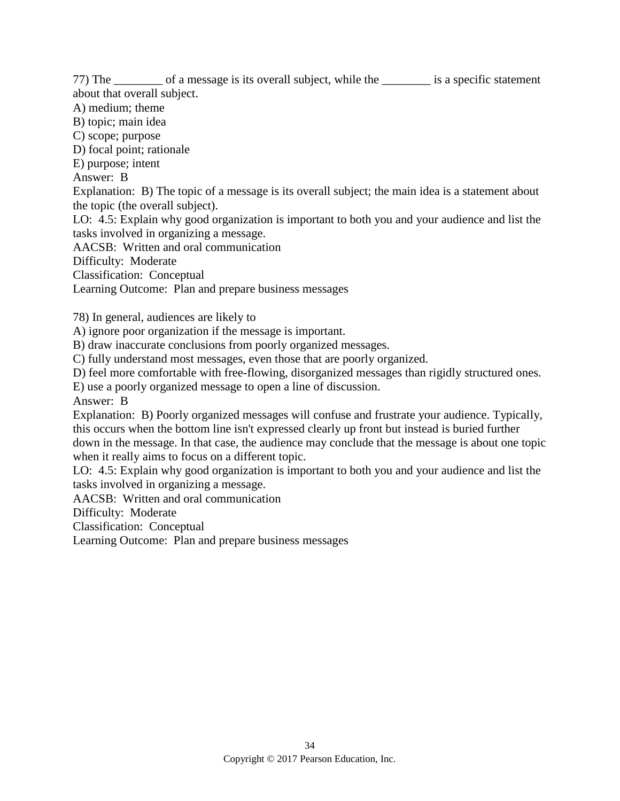77) The \_\_\_\_\_\_\_\_ of a message is its overall subject, while the \_\_\_\_\_\_\_\_ is a specific statement about that overall subject.

A) medium; theme

B) topic; main idea

C) scope; purpose

D) focal point; rationale

E) purpose; intent

Answer: B

Explanation: B) The topic of a message is its overall subject; the main idea is a statement about the topic (the overall subject).

LO: 4.5: Explain why good organization is important to both you and your audience and list the tasks involved in organizing a message.

AACSB: Written and oral communication

Difficulty: Moderate

Classification: Conceptual

Learning Outcome: Plan and prepare business messages

78) In general, audiences are likely to

A) ignore poor organization if the message is important.

B) draw inaccurate conclusions from poorly organized messages.

C) fully understand most messages, even those that are poorly organized.

D) feel more comfortable with free-flowing, disorganized messages than rigidly structured ones.

E) use a poorly organized message to open a line of discussion.

Answer: B

Explanation: B) Poorly organized messages will confuse and frustrate your audience. Typically, this occurs when the bottom line isn't expressed clearly up front but instead is buried further down in the message. In that case, the audience may conclude that the message is about one topic when it really aims to focus on a different topic.

LO: 4.5: Explain why good organization is important to both you and your audience and list the tasks involved in organizing a message.

AACSB: Written and oral communication

Difficulty: Moderate

Classification: Conceptual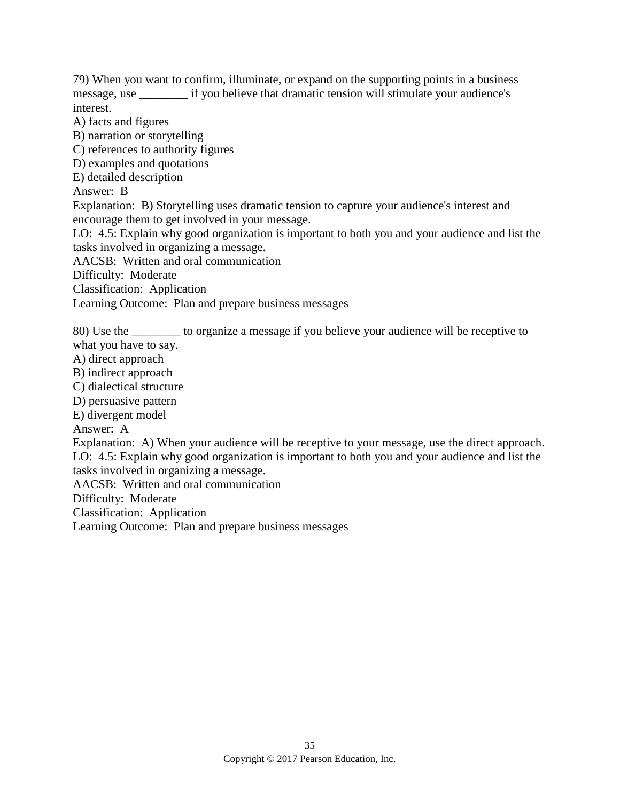79) When you want to confirm, illuminate, or expand on the supporting points in a business message, use if you believe that dramatic tension will stimulate your audience's interest.

A) facts and figures

B) narration or storytelling

C) references to authority figures

D) examples and quotations

E) detailed description

Answer: B

Explanation: B) Storytelling uses dramatic tension to capture your audience's interest and encourage them to get involved in your message.

LO: 4.5: Explain why good organization is important to both you and your audience and list the tasks involved in organizing a message.

AACSB: Written and oral communication

Difficulty: Moderate

Classification: Application

Learning Outcome: Plan and prepare business messages

80) Use the \_\_\_\_\_\_\_\_ to organize a message if you believe your audience will be receptive to what you have to say.

- A) direct approach
- B) indirect approach
- C) dialectical structure
- D) persuasive pattern

E) divergent model

Answer: A

Explanation: A) When your audience will be receptive to your message, use the direct approach. LO: 4.5: Explain why good organization is important to both you and your audience and list the tasks involved in organizing a message.

AACSB: Written and oral communication

Difficulty: Moderate

Classification: Application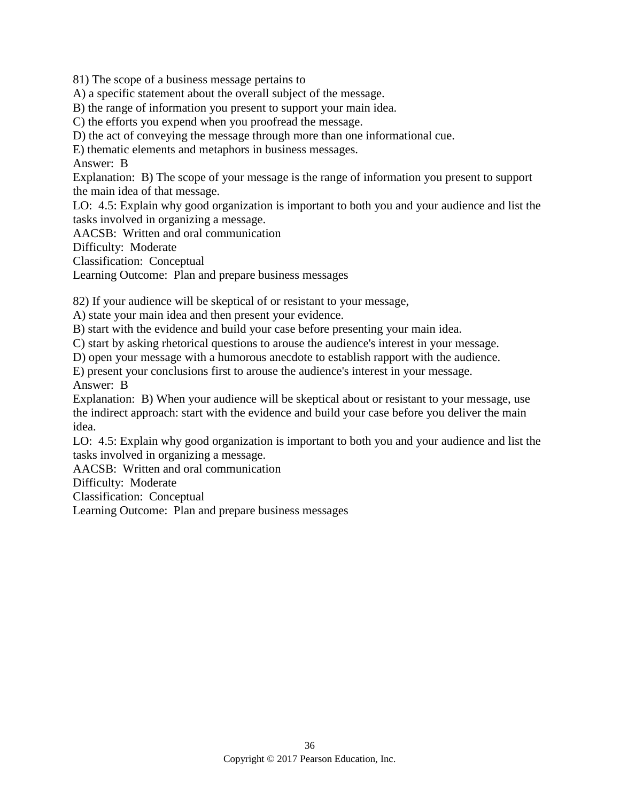81) The scope of a business message pertains to

A) a specific statement about the overall subject of the message.

B) the range of information you present to support your main idea.

C) the efforts you expend when you proofread the message.

D) the act of conveying the message through more than one informational cue.

E) thematic elements and metaphors in business messages.

Answer: B

Explanation: B) The scope of your message is the range of information you present to support the main idea of that message.

LO: 4.5: Explain why good organization is important to both you and your audience and list the tasks involved in organizing a message.

AACSB: Written and oral communication

Difficulty: Moderate

Classification: Conceptual

Learning Outcome: Plan and prepare business messages

82) If your audience will be skeptical of or resistant to your message,

A) state your main idea and then present your evidence.

B) start with the evidence and build your case before presenting your main idea.

C) start by asking rhetorical questions to arouse the audience's interest in your message.

D) open your message with a humorous anecdote to establish rapport with the audience.

E) present your conclusions first to arouse the audience's interest in your message. Answer: B

Explanation: B) When your audience will be skeptical about or resistant to your message, use the indirect approach: start with the evidence and build your case before you deliver the main idea.

LO: 4.5: Explain why good organization is important to both you and your audience and list the tasks involved in organizing a message.

AACSB: Written and oral communication

Difficulty: Moderate

Classification: Conceptual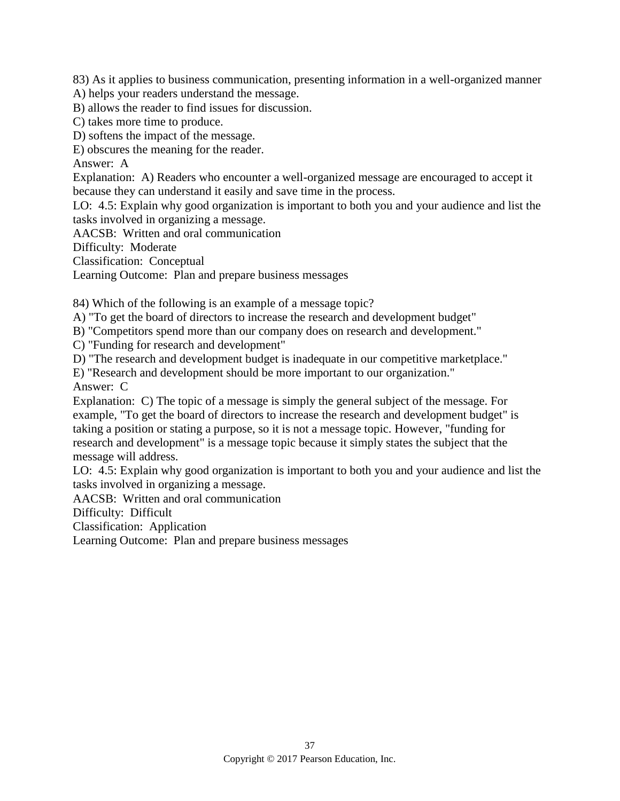83) As it applies to business communication, presenting information in a well-organized manner

A) helps your readers understand the message.

B) allows the reader to find issues for discussion.

C) takes more time to produce.

D) softens the impact of the message.

E) obscures the meaning for the reader.

Answer: A

Explanation: A) Readers who encounter a well-organized message are encouraged to accept it because they can understand it easily and save time in the process.

LO: 4.5: Explain why good organization is important to both you and your audience and list the tasks involved in organizing a message.

AACSB: Written and oral communication

Difficulty: Moderate

Classification: Conceptual

Learning Outcome: Plan and prepare business messages

84) Which of the following is an example of a message topic?

A) "To get the board of directors to increase the research and development budget"

B) "Competitors spend more than our company does on research and development."

C) "Funding for research and development"

D) "The research and development budget is inadequate in our competitive marketplace."

E) "Research and development should be more important to our organization." Answer: C

Explanation: C) The topic of a message is simply the general subject of the message. For example, "To get the board of directors to increase the research and development budget" is taking a position or stating a purpose, so it is not a message topic. However, "funding for research and development" is a message topic because it simply states the subject that the message will address.

LO: 4.5: Explain why good organization is important to both you and your audience and list the tasks involved in organizing a message.

AACSB: Written and oral communication

Difficulty: Difficult

Classification: Application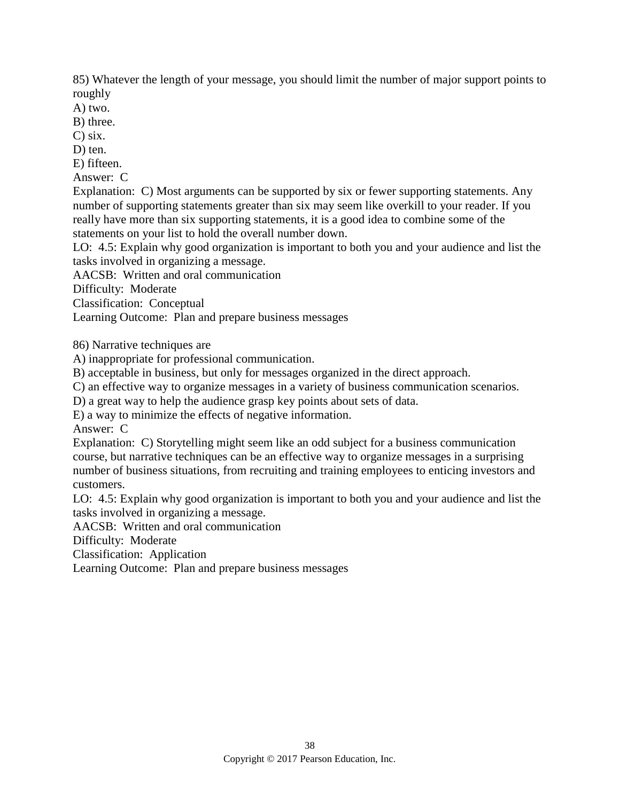85) Whatever the length of your message, you should limit the number of major support points to roughly

A) two.

B) three.

C) six.

D) ten.

E) fifteen.

Answer: C

Explanation: C) Most arguments can be supported by six or fewer supporting statements. Any number of supporting statements greater than six may seem like overkill to your reader. If you really have more than six supporting statements, it is a good idea to combine some of the statements on your list to hold the overall number down.

LO: 4.5: Explain why good organization is important to both you and your audience and list the tasks involved in organizing a message.

AACSB: Written and oral communication

Difficulty: Moderate

Classification: Conceptual

Learning Outcome: Plan and prepare business messages

86) Narrative techniques are

A) inappropriate for professional communication.

B) acceptable in business, but only for messages organized in the direct approach.

C) an effective way to organize messages in a variety of business communication scenarios.

D) a great way to help the audience grasp key points about sets of data.

E) a way to minimize the effects of negative information.

Answer: C

Explanation: C) Storytelling might seem like an odd subject for a business communication course, but narrative techniques can be an effective way to organize messages in a surprising number of business situations, from recruiting and training employees to enticing investors and customers.

LO: 4.5: Explain why good organization is important to both you and your audience and list the tasks involved in organizing a message.

AACSB: Written and oral communication

Difficulty: Moderate

Classification: Application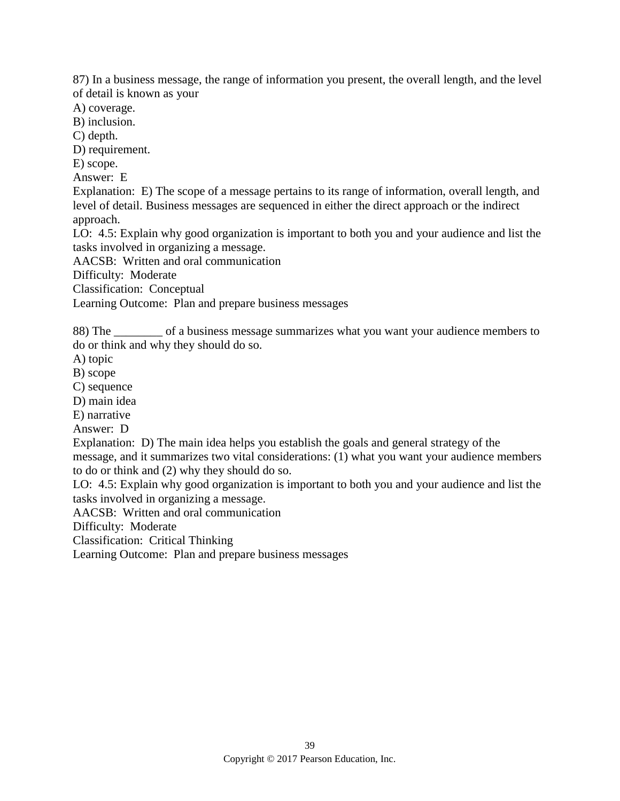87) In a business message, the range of information you present, the overall length, and the level of detail is known as your

A) coverage.

B) inclusion.

C) depth.

D) requirement.

E) scope.

Answer: E

Explanation: E) The scope of a message pertains to its range of information, overall length, and level of detail. Business messages are sequenced in either the direct approach or the indirect approach.

LO: 4.5: Explain why good organization is important to both you and your audience and list the tasks involved in organizing a message.

AACSB: Written and oral communication

Difficulty: Moderate

Classification: Conceptual

Learning Outcome: Plan and prepare business messages

88) The \_\_\_\_\_\_\_\_ of a business message summarizes what you want your audience members to do or think and why they should do so.

A) topic

B) scope

C) sequence

D) main idea

E) narrative

Answer: D

Explanation: D) The main idea helps you establish the goals and general strategy of the message, and it summarizes two vital considerations: (1) what you want your audience members to do or think and (2) why they should do so.

LO: 4.5: Explain why good organization is important to both you and your audience and list the tasks involved in organizing a message.

AACSB: Written and oral communication

Difficulty: Moderate

Classification: Critical Thinking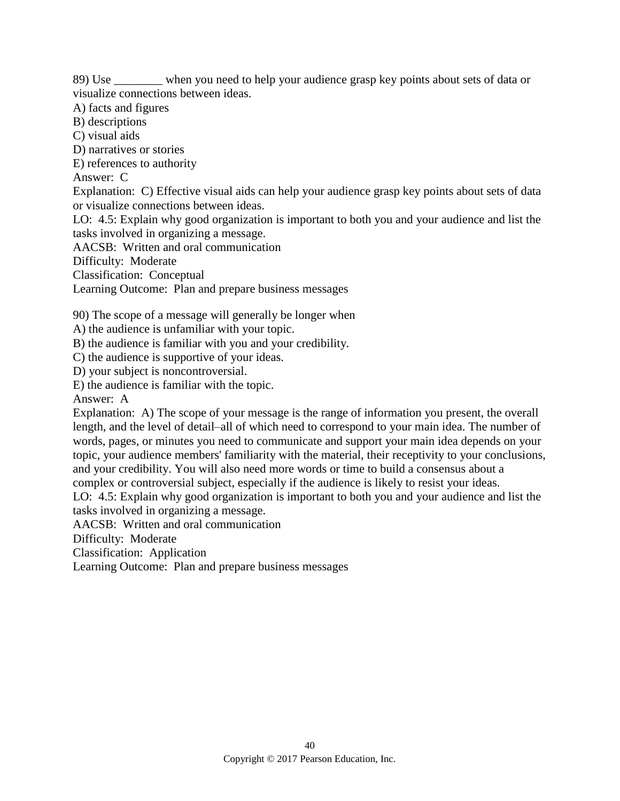89) Use \_\_\_\_\_\_\_\_ when you need to help your audience grasp key points about sets of data or visualize connections between ideas.

A) facts and figures

B) descriptions

C) visual aids

D) narratives or stories

E) references to authority

Answer: C

Explanation: C) Effective visual aids can help your audience grasp key points about sets of data or visualize connections between ideas.

LO: 4.5: Explain why good organization is important to both you and your audience and list the tasks involved in organizing a message.

AACSB: Written and oral communication

Difficulty: Moderate

Classification: Conceptual

Learning Outcome: Plan and prepare business messages

90) The scope of a message will generally be longer when

A) the audience is unfamiliar with your topic.

B) the audience is familiar with you and your credibility.

C) the audience is supportive of your ideas.

D) your subject is noncontroversial.

E) the audience is familiar with the topic.

Answer: A

Explanation: A) The scope of your message is the range of information you present, the overall length, and the level of detail–all of which need to correspond to your main idea. The number of words, pages, or minutes you need to communicate and support your main idea depends on your topic, your audience members' familiarity with the material, their receptivity to your conclusions, and your credibility. You will also need more words or time to build a consensus about a complex or controversial subject, especially if the audience is likely to resist your ideas.

LO: 4.5: Explain why good organization is important to both you and your audience and list the

tasks involved in organizing a message.

AACSB: Written and oral communication

Difficulty: Moderate

Classification: Application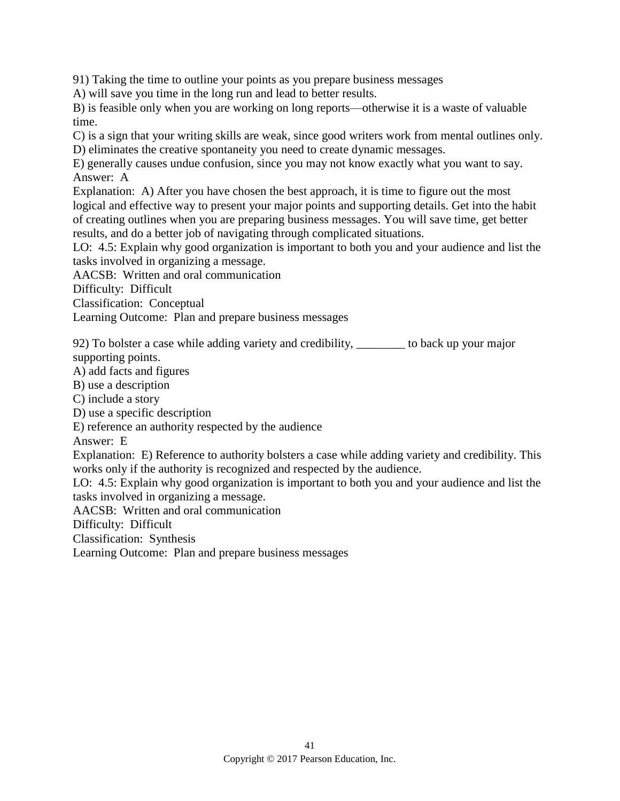91) Taking the time to outline your points as you prepare business messages

A) will save you time in the long run and lead to better results.

B) is feasible only when you are working on long reports—otherwise it is a waste of valuable time.

C) is a sign that your writing skills are weak, since good writers work from mental outlines only. D) eliminates the creative spontaneity you need to create dynamic messages.

E) generally causes undue confusion, since you may not know exactly what you want to say. Answer: A

Explanation: A) After you have chosen the best approach, it is time to figure out the most logical and effective way to present your major points and supporting details. Get into the habit of creating outlines when you are preparing business messages. You will save time, get better results, and do a better job of navigating through complicated situations.

LO: 4.5: Explain why good organization is important to both you and your audience and list the tasks involved in organizing a message.

AACSB: Written and oral communication

Difficulty: Difficult

Classification: Conceptual

Learning Outcome: Plan and prepare business messages

92) To bolster a case while adding variety and credibility, \_\_\_\_\_\_\_\_ to back up your major supporting points.

A) add facts and figures

B) use a description

C) include a story

D) use a specific description

E) reference an authority respected by the audience

Answer: E

Explanation: E) Reference to authority bolsters a case while adding variety and credibility. This works only if the authority is recognized and respected by the audience.

LO: 4.5: Explain why good organization is important to both you and your audience and list the tasks involved in organizing a message.

AACSB: Written and oral communication

Difficulty: Difficult

Classification: Synthesis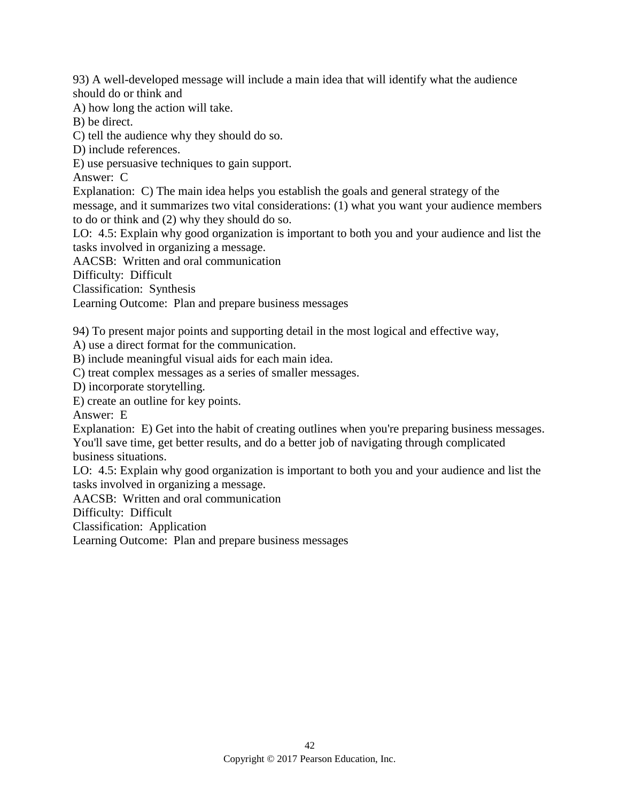93) A well-developed message will include a main idea that will identify what the audience should do or think and

A) how long the action will take.

B) be direct.

C) tell the audience why they should do so.

D) include references.

E) use persuasive techniques to gain support.

Answer: C

Explanation: C) The main idea helps you establish the goals and general strategy of the message, and it summarizes two vital considerations: (1) what you want your audience members to do or think and (2) why they should do so.

LO: 4.5: Explain why good organization is important to both you and your audience and list the tasks involved in organizing a message.

AACSB: Written and oral communication

Difficulty: Difficult

Classification: Synthesis

Learning Outcome: Plan and prepare business messages

94) To present major points and supporting detail in the most logical and effective way,

A) use a direct format for the communication.

B) include meaningful visual aids for each main idea.

C) treat complex messages as a series of smaller messages.

D) incorporate storytelling.

E) create an outline for key points.

Answer: E

Explanation: E) Get into the habit of creating outlines when you're preparing business messages. You'll save time, get better results, and do a better job of navigating through complicated business situations.

LO: 4.5: Explain why good organization is important to both you and your audience and list the tasks involved in organizing a message.

AACSB: Written and oral communication

Difficulty: Difficult

Classification: Application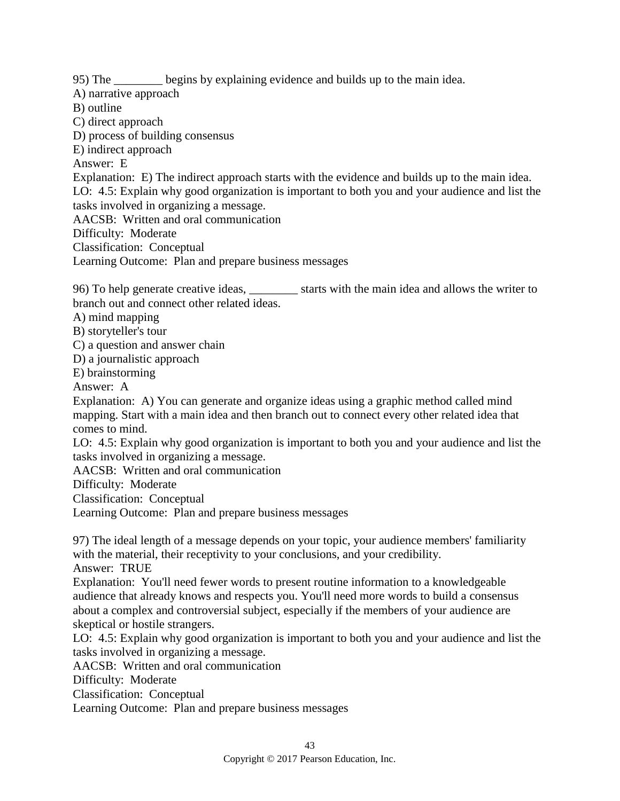95) The \_\_\_\_\_\_\_\_ begins by explaining evidence and builds up to the main idea.

A) narrative approach

B) outline

C) direct approach

D) process of building consensus

E) indirect approach

Answer: E

Explanation: E) The indirect approach starts with the evidence and builds up to the main idea.

LO: 4.5: Explain why good organization is important to both you and your audience and list the tasks involved in organizing a message.

AACSB: Written and oral communication

Difficulty: Moderate

Classification: Conceptual

Learning Outcome: Plan and prepare business messages

96) To help generate creative ideas, \_\_\_\_\_\_\_\_ starts with the main idea and allows the writer to branch out and connect other related ideas.

A) mind mapping

B) storyteller's tour

C) a question and answer chain

D) a journalistic approach

E) brainstorming

Answer: A

Explanation: A) You can generate and organize ideas using a graphic method called mind mapping. Start with a main idea and then branch out to connect every other related idea that comes to mind.

LO: 4.5: Explain why good organization is important to both you and your audience and list the tasks involved in organizing a message.

AACSB: Written and oral communication

Difficulty: Moderate

Classification: Conceptual

Learning Outcome: Plan and prepare business messages

97) The ideal length of a message depends on your topic, your audience members' familiarity with the material, their receptivity to your conclusions, and your credibility. Answer: TRUE

Explanation: You'll need fewer words to present routine information to a knowledgeable audience that already knows and respects you. You'll need more words to build a consensus about a complex and controversial subject, especially if the members of your audience are skeptical or hostile strangers.

LO: 4.5: Explain why good organization is important to both you and your audience and list the tasks involved in organizing a message.

AACSB: Written and oral communication

Difficulty: Moderate

Classification: Conceptual